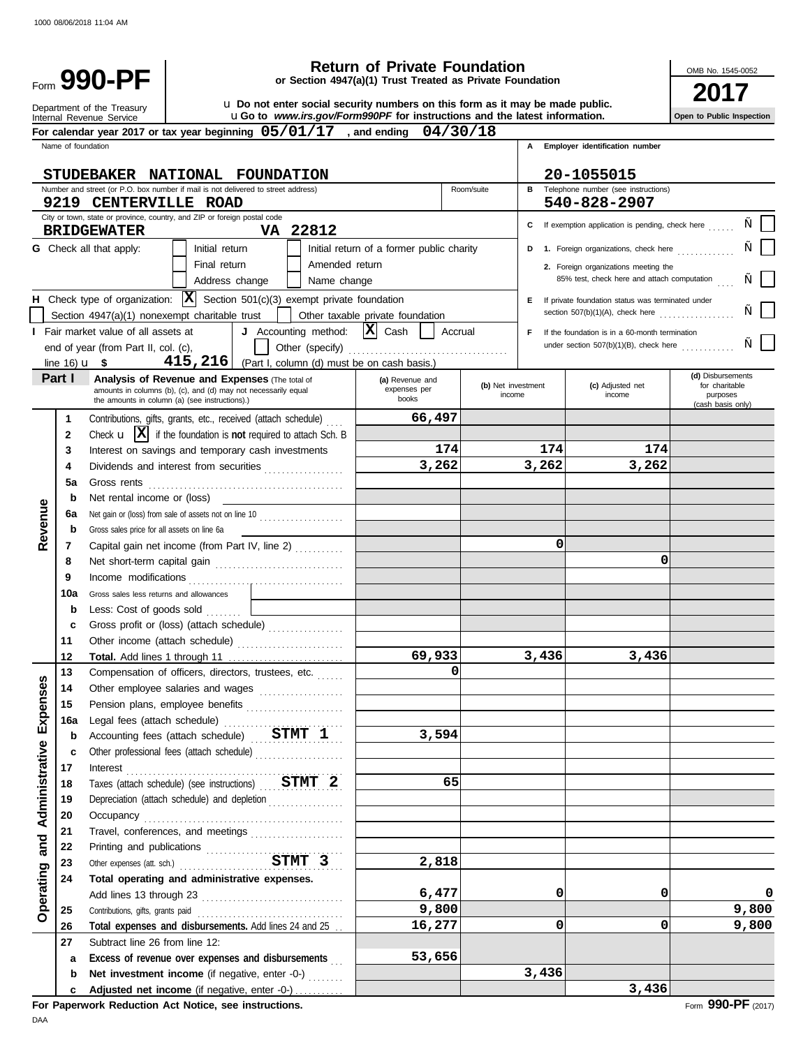| <b>Return of Private Foundation</b><br>Form 990-PF<br>or Section 4947(a)(1) Trust Treated as Private Foundation |                        |                                                                                                   |                |                                                                                                                                                             |                                           |            | OMB No. 1545-0052            |       |                                                                                            |                                                 |
|-----------------------------------------------------------------------------------------------------------------|------------------------|---------------------------------------------------------------------------------------------------|----------------|-------------------------------------------------------------------------------------------------------------------------------------------------------------|-------------------------------------------|------------|------------------------------|-------|--------------------------------------------------------------------------------------------|-------------------------------------------------|
|                                                                                                                 |                        | Department of the Treasury<br>Internal Revenue Service                                            |                | u. Do not enter social security numbers on this form as it may be made public.<br>uGo to www.irs.gov/Form990PF for instructions and the latest information. |                                           |            |                              |       |                                                                                            | Open to Public Inspection                       |
|                                                                                                                 |                        |                                                                                                   |                | For calendar year 2017 or tax year beginning $05/01/17$ , and ending                                                                                        |                                           | 04/30/18   |                              |       |                                                                                            |                                                 |
|                                                                                                                 | Name of foundation     |                                                                                                   |                | STUDEBAKER NATIONAL FOUNDATION                                                                                                                              |                                           |            |                              | A     | Employer identification number<br>20-1055015                                               |                                                 |
|                                                                                                                 |                        |                                                                                                   |                | Number and street (or P.O. box number if mail is not delivered to street address)                                                                           |                                           | Room/suite |                              |       | <b>B</b> Telephone number (see instructions)                                               |                                                 |
|                                                                                                                 |                        | 9219 CENTERVILLE ROAD<br>City or town, state or province, country, and ZIP or foreign postal code |                |                                                                                                                                                             |                                           |            |                              |       | 540-828-2907                                                                               |                                                 |
|                                                                                                                 |                        | <b>BRIDGEWATER</b>                                                                                |                | VA 22812                                                                                                                                                    |                                           |            |                              |       | C If exemption application is pending, check here                                          |                                                 |
|                                                                                                                 |                        | <b>G</b> Check all that apply:                                                                    | Initial return |                                                                                                                                                             | Initial return of a former public charity |            |                              |       | D 1. Foreign organizations, check here                                                     |                                                 |
|                                                                                                                 |                        |                                                                                                   | Final return   | Address change<br>Name change                                                                                                                               | Amended return                            |            |                              |       | 2. Foreign organizations meeting the<br>85% test, check here and attach computation        |                                                 |
|                                                                                                                 |                        |                                                                                                   |                |                                                                                                                                                             |                                           |            |                              |       |                                                                                            |                                                 |
|                                                                                                                 |                        |                                                                                                   |                | H Check type of organization: $ \mathbf{X} $ Section 501(c)(3) exempt private foundation                                                                    |                                           |            |                              |       | E If private foundation status was terminated under<br>section $507(b)(1)(A)$ , check here |                                                 |
|                                                                                                                 |                        | Section $4947(a)(1)$ nonexempt charitable trust                                                   |                |                                                                                                                                                             | Other taxable private foundation          |            |                              |       |                                                                                            |                                                 |
|                                                                                                                 |                        | <b>I</b> Fair market value of all assets at                                                       |                | J Accounting method: $ \mathbf{X} $ Cash                                                                                                                    |                                           | Accrual    |                              | F.    | If the foundation is in a 60-month termination                                             |                                                 |
|                                                                                                                 |                        | end of year (from Part II, col. (c),                                                              |                | Other (specify)                                                                                                                                             |                                           |            |                              |       | under section $507(b)(1)(B)$ , check here                                                  |                                                 |
|                                                                                                                 | line $16)$ <b>u</b> \$ |                                                                                                   |                | 415, 216   (Part I, column (d) must be on cash basis.)                                                                                                      |                                           |            |                              |       |                                                                                            |                                                 |
|                                                                                                                 | Part I                 | the amounts in column (a) (see instructions).)                                                    |                | <b>Analysis of Revenue and Expenses (The total of</b><br>amounts in columns (b), (c), and (d) may not necessarily equal                                     | (a) Revenue and<br>expenses per<br>books  |            | (b) Net investment<br>income |       | (c) Adjusted net<br>income                                                                 | (d) Disbursements<br>for charitable<br>purposes |
|                                                                                                                 |                        |                                                                                                   |                |                                                                                                                                                             |                                           |            |                              |       |                                                                                            | (cash basis only)                               |
|                                                                                                                 | $\mathbf 1$            |                                                                                                   |                | Contributions, gifts, grants, etc., received (attach schedule)                                                                                              | 66,497                                    |            |                              |       |                                                                                            |                                                 |
|                                                                                                                 | $\mathbf{2}$           |                                                                                                   |                | Check $\mathbf{u}$ $\mathbf{X}$ if the foundation is not required to attach Sch. B                                                                          |                                           |            |                              |       |                                                                                            |                                                 |
|                                                                                                                 | 3                      |                                                                                                   |                | Interest on savings and temporary cash investments                                                                                                          |                                           | 174        |                              | 174   | 174                                                                                        |                                                 |
|                                                                                                                 | 4                      |                                                                                                   |                | Dividends and interest from securities                                                                                                                      | 3,262                                     |            |                              | 3,262 | 3,262                                                                                      |                                                 |
|                                                                                                                 | 5a                     | Gross rents                                                                                       |                |                                                                                                                                                             |                                           |            |                              |       |                                                                                            |                                                 |
|                                                                                                                 | b                      | Net rental income or (loss)                                                                       |                |                                                                                                                                                             |                                           |            |                              |       |                                                                                            |                                                 |
|                                                                                                                 | 6a                     |                                                                                                   |                | Net gain or (loss) from sale of assets not on line 10                                                                                                       |                                           |            |                              |       |                                                                                            |                                                 |
| Revenue                                                                                                         | b                      | Gross sales price for all assets on line 6a                                                       |                |                                                                                                                                                             |                                           |            |                              |       |                                                                                            |                                                 |
|                                                                                                                 | 7                      |                                                                                                   |                | Capital gain net income (from Part IV, line 2)                                                                                                              |                                           |            |                              | 0     |                                                                                            |                                                 |
|                                                                                                                 | 8                      |                                                                                                   |                |                                                                                                                                                             |                                           |            |                              |       | 0                                                                                          |                                                 |
|                                                                                                                 | 9                      |                                                                                                   |                |                                                                                                                                                             |                                           |            |                              |       |                                                                                            |                                                 |
|                                                                                                                 | 10a                    | Gross sales less returns and allowances                                                           |                |                                                                                                                                                             |                                           |            |                              |       |                                                                                            |                                                 |
|                                                                                                                 | b                      | Less: Cost of goods sold                                                                          |                |                                                                                                                                                             |                                           |            |                              |       |                                                                                            |                                                 |
|                                                                                                                 | c                      |                                                                                                   |                | Gross profit or (loss) (attach schedule)                                                                                                                    |                                           |            |                              |       |                                                                                            |                                                 |
|                                                                                                                 | 11                     |                                                                                                   |                | Other income (attach schedule)                                                                                                                              |                                           |            |                              |       |                                                                                            |                                                 |
|                                                                                                                 | 12                     |                                                                                                   |                | Total. Add lines 1 through 11                                                                                                                               | 69,933                                    |            |                              | 3,436 | 3,436                                                                                      |                                                 |
|                                                                                                                 | 13                     |                                                                                                   |                | Compensation of officers, directors, trustees, etc.                                                                                                         |                                           | $\Omega$   |                              |       |                                                                                            |                                                 |
|                                                                                                                 | 14                     |                                                                                                   |                | Other employee salaries and wages                                                                                                                           |                                           |            |                              |       |                                                                                            |                                                 |
|                                                                                                                 | 15                     |                                                                                                   |                | Pension plans, employee benefits                                                                                                                            |                                           |            |                              |       |                                                                                            |                                                 |
| Expenses                                                                                                        | 16a                    |                                                                                                   |                |                                                                                                                                                             |                                           |            |                              |       |                                                                                            |                                                 |
|                                                                                                                 | b                      |                                                                                                   |                | Accounting fees (attach schedule) STMT 1                                                                                                                    | 3,594                                     |            |                              |       |                                                                                            |                                                 |
|                                                                                                                 | c                      |                                                                                                   |                | Other professional fees (attach schedule)                                                                                                                   |                                           |            |                              |       |                                                                                            |                                                 |
|                                                                                                                 | 17                     |                                                                                                   |                | Interest                                                                                                                                                    |                                           |            |                              |       |                                                                                            |                                                 |
|                                                                                                                 | 18                     |                                                                                                   |                | Taxes (attach schedule) (see instructions) STMT 2                                                                                                           |                                           | 65         |                              |       |                                                                                            |                                                 |
| <b>Administrative</b>                                                                                           | 19                     |                                                                                                   |                | Depreciation (attach schedule) and depletion                                                                                                                |                                           |            |                              |       |                                                                                            |                                                 |
|                                                                                                                 | 20                     |                                                                                                   |                |                                                                                                                                                             |                                           |            |                              |       |                                                                                            |                                                 |
|                                                                                                                 | 21<br>22               |                                                                                                   |                | Travel, conferences, and meetings                                                                                                                           |                                           |            |                              |       |                                                                                            |                                                 |
|                                                                                                                 |                        |                                                                                                   |                | Printing and publications<br>Other expenses (att. sch.)<br>STMT 3                                                                                           | 2,818                                     |            |                              |       |                                                                                            |                                                 |
| Operating and                                                                                                   | 23<br>24               |                                                                                                   |                | Total operating and administrative expenses.                                                                                                                |                                           |            |                              |       |                                                                                            |                                                 |
|                                                                                                                 |                        |                                                                                                   |                |                                                                                                                                                             | 6,477                                     |            |                              | 0     | 0                                                                                          | 0                                               |
|                                                                                                                 | 25                     |                                                                                                   |                |                                                                                                                                                             | 9,800                                     |            |                              |       |                                                                                            | 9,800                                           |
|                                                                                                                 | 26                     |                                                                                                   |                | Total expenses and disbursements. Add lines 24 and 25                                                                                                       | 16,277                                    |            |                              | 0     | 0                                                                                          | 9,800                                           |
|                                                                                                                 | 27                     | Subtract line 26 from line 12:                                                                    |                |                                                                                                                                                             |                                           |            |                              |       |                                                                                            |                                                 |
|                                                                                                                 | a                      |                                                                                                   |                | Excess of revenue over expenses and disbursements                                                                                                           | 53,656                                    |            |                              |       |                                                                                            |                                                 |
|                                                                                                                 | b                      |                                                                                                   |                | Net investment income (if negative, enter -0-)                                                                                                              |                                           |            |                              | 3,436 |                                                                                            |                                                 |
|                                                                                                                 | c                      |                                                                                                   |                | Adjusted net income (if negative, enter -0-)                                                                                                                |                                           |            |                              |       | 3,436                                                                                      |                                                 |
|                                                                                                                 |                        |                                                                                                   |                |                                                                                                                                                             |                                           |            |                              |       |                                                                                            |                                                 |

**For Paperwork Reduction Act Notice, see instructions.**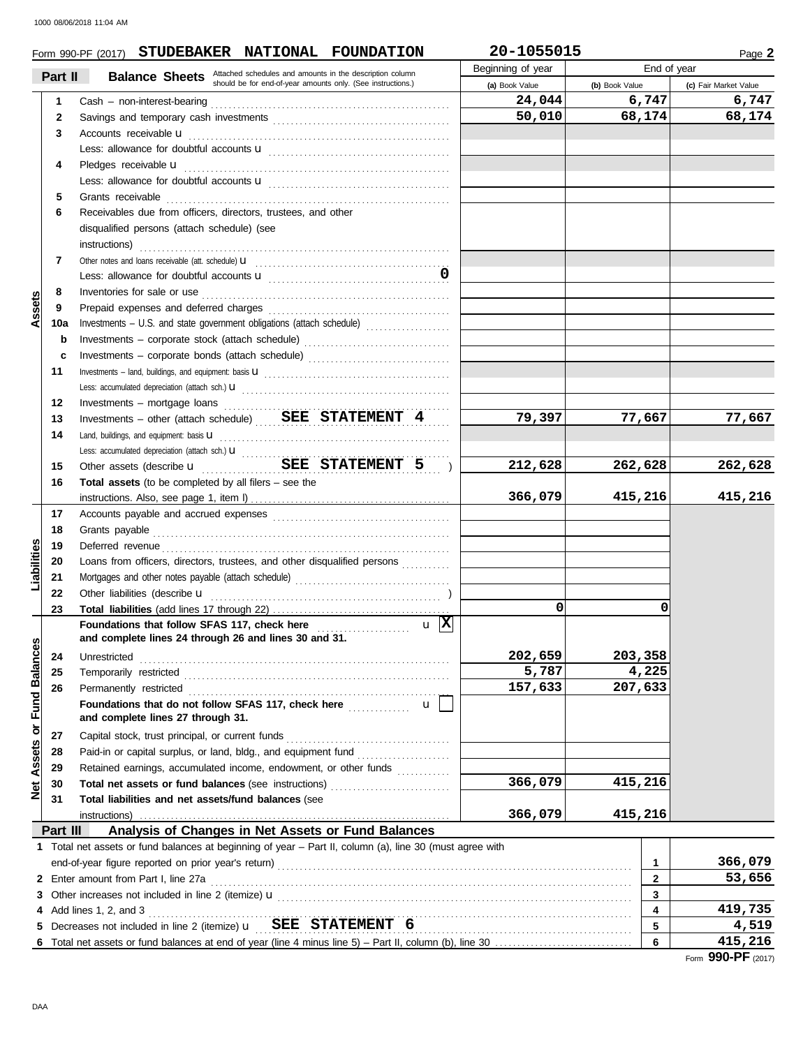|                                |              | Form 990-PF (2017) STUDEBAKER NATIONAL FOUNDATION                                                                                                                                                                                                                                                                            | 20-1055015        |                         | Page 2                |
|--------------------------------|--------------|------------------------------------------------------------------------------------------------------------------------------------------------------------------------------------------------------------------------------------------------------------------------------------------------------------------------------|-------------------|-------------------------|-----------------------|
|                                | Part II      | <b>Balance Sheets</b> Attached schedules and amounts in the description column                                                                                                                                                                                                                                               | Beginning of year | End of year             |                       |
|                                |              | should be for end-of-year amounts only. (See instructions.)                                                                                                                                                                                                                                                                  | (a) Book Value    | (b) Book Value          | (c) Fair Market Value |
|                                | 1            |                                                                                                                                                                                                                                                                                                                              | 24,044            | 6,747                   | 6,747                 |
|                                | $\mathbf{2}$ |                                                                                                                                                                                                                                                                                                                              | 50,010            | 68,174                  | 68,174                |
|                                | 3            | Accounts receivable <b>u</b>                                                                                                                                                                                                                                                                                                 |                   |                         |                       |
|                                |              |                                                                                                                                                                                                                                                                                                                              |                   |                         |                       |
|                                | 4            | Pledges receivable <b>u</b>                                                                                                                                                                                                                                                                                                  |                   |                         |                       |
|                                |              |                                                                                                                                                                                                                                                                                                                              |                   |                         |                       |
|                                | 5            | Grants receivable                                                                                                                                                                                                                                                                                                            |                   |                         |                       |
|                                | 6            | Receivables due from officers, directors, trustees, and other                                                                                                                                                                                                                                                                |                   |                         |                       |
|                                |              | disqualified persons (attach schedule) (see                                                                                                                                                                                                                                                                                  |                   |                         |                       |
|                                |              | instructions)                                                                                                                                                                                                                                                                                                                |                   |                         |                       |
|                                | 7            |                                                                                                                                                                                                                                                                                                                              |                   |                         |                       |
|                                |              |                                                                                                                                                                                                                                                                                                                              |                   |                         |                       |
|                                | 8            |                                                                                                                                                                                                                                                                                                                              |                   |                         |                       |
| Assets                         | 9            |                                                                                                                                                                                                                                                                                                                              |                   |                         |                       |
|                                | 10a          | Investments - U.S. and state government obligations (attach schedule)                                                                                                                                                                                                                                                        |                   |                         |                       |
|                                | b            | Investments - corporate stock (attach schedule)                                                                                                                                                                                                                                                                              |                   |                         |                       |
|                                | c            | Investments - corporate bonds (attach schedule)                                                                                                                                                                                                                                                                              |                   |                         |                       |
|                                | 11           |                                                                                                                                                                                                                                                                                                                              |                   |                         |                       |
|                                |              |                                                                                                                                                                                                                                                                                                                              |                   |                         |                       |
|                                | 12           | Investments – mortgage loans $\ldots$ $\ldots$ $\ldots$ $\ldots$ $\ldots$ $\ldots$ $\ldots$ $\ldots$ $\ldots$ $\ldots$ $\ldots$ $\ldots$ $\ldots$ $\ldots$ $\ldots$ $\ldots$ $\ldots$ $\ldots$ $\ldots$ $\ldots$ $\ldots$ $\ldots$ $\ldots$ $\ldots$ $\ldots$ $\ldots$ $\ldots$ $\ldots$ $\ldots$ $\ldots$ $\ldots$ $\ldots$ |                   |                         |                       |
|                                | 13           | Investments - other (attach schedule)  SEE STATEMENT 4                                                                                                                                                                                                                                                                       | 79,397            | 77,667                  | 77,667                |
|                                | 14           | Land, buildings, and equipment: basis <b>U</b>                                                                                                                                                                                                                                                                               |                   |                         |                       |
|                                |              |                                                                                                                                                                                                                                                                                                                              |                   |                         |                       |
|                                | 15           |                                                                                                                                                                                                                                                                                                                              | 212,628           | 262,628                 | 262,628               |
|                                | 16           | <b>Total assets</b> (to be completed by all filers $-$ see the                                                                                                                                                                                                                                                               |                   |                         |                       |
|                                |              |                                                                                                                                                                                                                                                                                                                              | 366,079           | 415,216                 | 415,216               |
|                                | 17           |                                                                                                                                                                                                                                                                                                                              |                   |                         |                       |
|                                | 18           | Grants payable                                                                                                                                                                                                                                                                                                               |                   |                         |                       |
|                                | 19           | Deferred revenue contains and all the contains and all the contains and all the contains and all the contains and all the contains and all the contains and all the contains and contains and contains and contains and contai                                                                                               |                   |                         |                       |
| abilities                      | 20           | Loans from officers, directors, trustees, and other disqualified persons                                                                                                                                                                                                                                                     |                   |                         |                       |
|                                | 21           |                                                                                                                                                                                                                                                                                                                              |                   |                         |                       |
|                                | 22           | Other liabilities (describe u                                                                                                                                                                                                                                                                                                |                   |                         |                       |
|                                | 23           |                                                                                                                                                                                                                                                                                                                              | $\mathbf 0$       | 0                       |                       |
|                                |              | $\mathbf{u}$  X                                                                                                                                                                                                                                                                                                              |                   |                         |                       |
|                                |              | Foundations that follow SFAS 117, check here<br>and complete lines 24 through 26 and lines 30 and 31.                                                                                                                                                                                                                        |                   |                         |                       |
|                                | 24           | Unrestricted                                                                                                                                                                                                                                                                                                                 | 202,659           | 203,358                 |                       |
|                                | 25           | Temporarily restricted with an according to the contract of the contract of the contract of the contract of the contract of the contract of the contract of the contract of the contract of the contract of the contract of th                                                                                               | 5,787             | 4,225                   |                       |
|                                | 26           |                                                                                                                                                                                                                                                                                                                              | 157,633           | 207,633                 |                       |
|                                |              | Foundations that do not follow SFAS 117, check here <i>mimimima</i><br>$\mathbf{u}$                                                                                                                                                                                                                                          |                   |                         |                       |
|                                |              | and complete lines 27 through 31.                                                                                                                                                                                                                                                                                            |                   |                         |                       |
|                                | 27           |                                                                                                                                                                                                                                                                                                                              |                   |                         |                       |
| <b>Assets or Fund Balances</b> | 28           | Paid-in or capital surplus, or land, bldg., and equipment fund                                                                                                                                                                                                                                                               |                   |                         |                       |
|                                | 29           | Retained earnings, accumulated income, endowment, or other funds                                                                                                                                                                                                                                                             |                   |                         |                       |
|                                | 30           | Total net assets or fund balances (see instructions)<br>[[[[[[[[[[[[[[]]]]]                                                                                                                                                                                                                                                  | 366,079           | 415,216                 |                       |
| ğ                              | 31           | Total liabilities and net assets/fund balances (see                                                                                                                                                                                                                                                                          |                   |                         |                       |
|                                |              | instructions)                                                                                                                                                                                                                                                                                                                | 366,079           | 415,216                 |                       |
|                                | Part III     | Analysis of Changes in Net Assets or Fund Balances                                                                                                                                                                                                                                                                           |                   |                         |                       |
|                                |              | 1 Total net assets or fund balances at beginning of year - Part II, column (a), line 30 (must agree with                                                                                                                                                                                                                     |                   |                         |                       |
|                                |              |                                                                                                                                                                                                                                                                                                                              |                   | $\mathbf 1$             | 366,079               |
|                                |              | 2 Enter amount from Part I, line 27a                                                                                                                                                                                                                                                                                         |                   | $\overline{2}$          | 53,656                |
|                                |              |                                                                                                                                                                                                                                                                                                                              |                   | $\overline{\mathbf{3}}$ |                       |
|                                |              | 4 Add lines 1, 2, and 3                                                                                                                                                                                                                                                                                                      |                   | 4                       | 419,735               |
|                                |              |                                                                                                                                                                                                                                                                                                                              |                   | 5                       | 4,519                 |
| 6                              |              |                                                                                                                                                                                                                                                                                                                              |                   | 6                       | 415,216               |
|                                |              |                                                                                                                                                                                                                                                                                                                              |                   |                         | Form 990-PF (2017)    |
|                                |              |                                                                                                                                                                                                                                                                                                                              |                   |                         |                       |
|                                |              |                                                                                                                                                                                                                                                                                                                              |                   |                         |                       |
| DAA                            |              |                                                                                                                                                                                                                                                                                                                              |                   |                         |                       |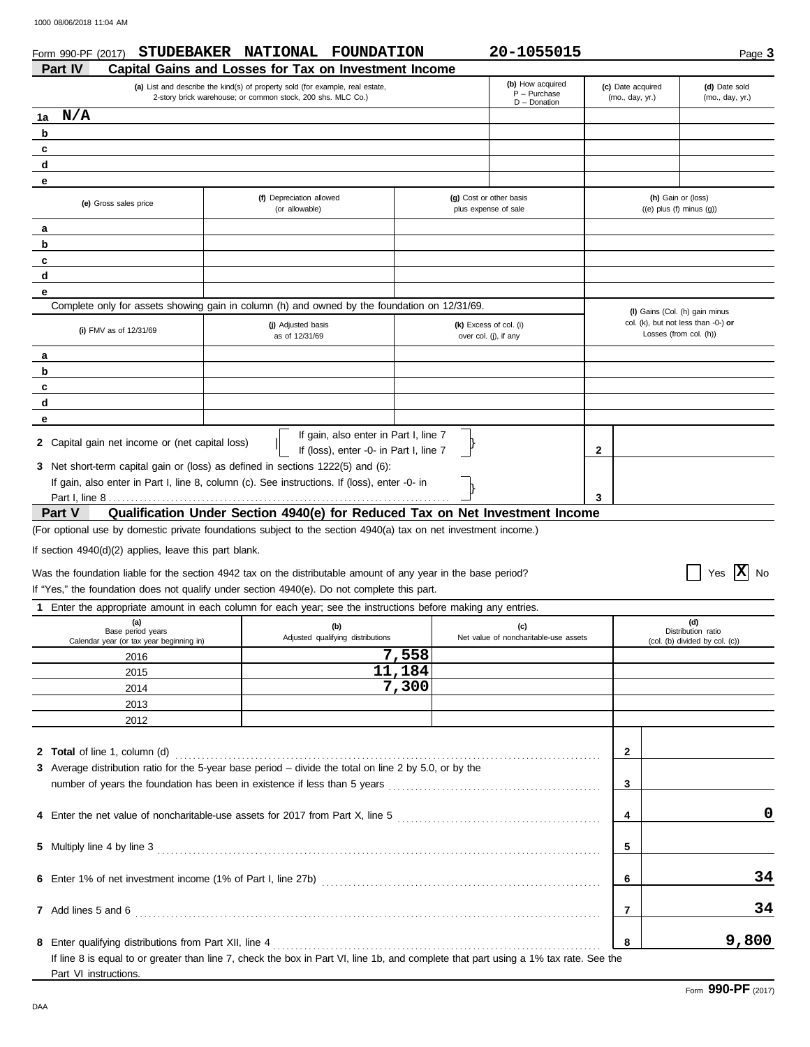| Form 990-PF (2017)                                            | STUDEBAKER NATIONAL FOUNDATION                                                                                                               |        | 20-1055015                                            |                                      |                                                               | Page 3                           |
|---------------------------------------------------------------|----------------------------------------------------------------------------------------------------------------------------------------------|--------|-------------------------------------------------------|--------------------------------------|---------------------------------------------------------------|----------------------------------|
| Part IV                                                       | Capital Gains and Losses for Tax on Investment Income                                                                                        |        |                                                       |                                      |                                                               |                                  |
|                                                               | (a) List and describe the kind(s) of property sold (for example, real estate,<br>2-story brick warehouse; or common stock, 200 shs. MLC Co.) |        | (b) How acquired<br>$P - P$ urchase<br>$D$ - Donation | (c) Date acquired<br>(mo., day, yr.) |                                                               | (d) Date sold<br>(mo., day, yr.) |
| N/A<br>1a                                                     |                                                                                                                                              |        |                                                       |                                      |                                                               |                                  |
| b                                                             |                                                                                                                                              |        |                                                       |                                      |                                                               |                                  |
| c                                                             |                                                                                                                                              |        |                                                       |                                      |                                                               |                                  |
| d                                                             |                                                                                                                                              |        |                                                       |                                      |                                                               |                                  |
|                                                               |                                                                                                                                              |        |                                                       |                                      |                                                               |                                  |
| е<br>(e) Gross sales price                                    | (f) Depreciation allowed<br>(or allowable)                                                                                                   |        | (g) Cost or other basis<br>plus expense of sale       |                                      | (h) Gain or (loss)<br>$((e)$ plus $(f)$ minus $(g)$ )         |                                  |
| a                                                             |                                                                                                                                              |        |                                                       |                                      |                                                               |                                  |
| b                                                             |                                                                                                                                              |        |                                                       |                                      |                                                               |                                  |
| c                                                             |                                                                                                                                              |        |                                                       |                                      |                                                               |                                  |
| d                                                             |                                                                                                                                              |        |                                                       |                                      |                                                               |                                  |
|                                                               |                                                                                                                                              |        |                                                       |                                      |                                                               |                                  |
| е                                                             |                                                                                                                                              |        |                                                       |                                      |                                                               |                                  |
|                                                               | Complete only for assets showing gain in column (h) and owned by the foundation on 12/31/69.                                                 |        |                                                       |                                      | (I) Gains (Col. (h) gain minus                                |                                  |
| (i) FMV as of 12/31/69                                        | (j) Adjusted basis<br>as of 12/31/69                                                                                                         |        | (k) Excess of col. (i)<br>over col. (j), if any       |                                      | col. (k), but not less than -0-) or<br>Losses (from col. (h)) |                                  |
| а                                                             |                                                                                                                                              |        |                                                       |                                      |                                                               |                                  |
| b                                                             |                                                                                                                                              |        |                                                       |                                      |                                                               |                                  |
| c                                                             |                                                                                                                                              |        |                                                       |                                      |                                                               |                                  |
| d                                                             |                                                                                                                                              |        |                                                       |                                      |                                                               |                                  |
| е                                                             |                                                                                                                                              |        |                                                       |                                      |                                                               |                                  |
| 2 Capital gain net income or (net capital loss)               | If gain, also enter in Part I, line 7<br>If (loss), enter -0- in Part I, line 7                                                              |        |                                                       | 2                                    |                                                               |                                  |
|                                                               | 3 Net short-term capital gain or (loss) as defined in sections 1222(5) and (6):                                                              |        |                                                       |                                      |                                                               |                                  |
|                                                               | If gain, also enter in Part I, line 8, column (c). See instructions. If (loss), enter -0- in                                                 |        |                                                       |                                      |                                                               |                                  |
|                                                               |                                                                                                                                              |        |                                                       | 3                                    |                                                               |                                  |
| Part V                                                        | Qualification Under Section 4940(e) for Reduced Tax on Net Investment Income                                                                 |        |                                                       |                                      |                                                               |                                  |
|                                                               | (For optional use by domestic private foundations subject to the section 4940(a) tax on net investment income.)                              |        |                                                       |                                      |                                                               |                                  |
| If section 4940(d)(2) applies, leave this part blank.         |                                                                                                                                              |        |                                                       |                                      |                                                               |                                  |
|                                                               |                                                                                                                                              |        |                                                       |                                      |                                                               |                                  |
|                                                               | Was the foundation liable for the section 4942 tax on the distributable amount of any year in the base period?                               |        |                                                       |                                      |                                                               | $ {\bf x} $<br><b>No</b><br>Yes  |
|                                                               | If "Yes," the foundation does not qualify under section 4940(e). Do not complete this part.                                                  |        |                                                       |                                      |                                                               |                                  |
| 1.                                                            | Enter the appropriate amount in each column for each year; see the instructions before making any entries.                                   |        |                                                       |                                      |                                                               |                                  |
| (a)                                                           | (b)                                                                                                                                          |        | (c)                                                   |                                      | (d)                                                           |                                  |
| Base period years<br>Calendar year (or tax year beginning in) | Adjusted qualifying distributions                                                                                                            |        | Net value of noncharitable-use assets                 |                                      | Distribution ratio<br>(col. (b) divided by col. (c))          |                                  |
| 2016                                                          |                                                                                                                                              | 7,558  |                                                       |                                      |                                                               |                                  |
|                                                               |                                                                                                                                              | 11,184 |                                                       |                                      |                                                               |                                  |
| 2015                                                          |                                                                                                                                              | 7,300  |                                                       |                                      |                                                               |                                  |
| 2014                                                          |                                                                                                                                              |        |                                                       |                                      |                                                               |                                  |
| 2013                                                          |                                                                                                                                              |        |                                                       |                                      |                                                               |                                  |
| 2012                                                          |                                                                                                                                              |        |                                                       |                                      |                                                               |                                  |
|                                                               |                                                                                                                                              |        |                                                       |                                      |                                                               |                                  |
| 2 Total of line 1, column (d)                                 |                                                                                                                                              |        |                                                       | $\mathbf{2}$                         |                                                               |                                  |
|                                                               | 3 Average distribution ratio for the 5-year base period - divide the total on line 2 by 5.0, or by the                                       |        |                                                       |                                      |                                                               |                                  |
|                                                               |                                                                                                                                              |        |                                                       | 3                                    |                                                               |                                  |
|                                                               |                                                                                                                                              |        |                                                       |                                      |                                                               |                                  |
|                                                               |                                                                                                                                              |        |                                                       | 4                                    |                                                               | 0                                |
|                                                               |                                                                                                                                              |        |                                                       |                                      |                                                               |                                  |
|                                                               |                                                                                                                                              |        |                                                       |                                      |                                                               |                                  |
| 5 Multiply line 4 by line 3                                   |                                                                                                                                              |        |                                                       | 5                                    |                                                               |                                  |
|                                                               |                                                                                                                                              |        |                                                       |                                      |                                                               |                                  |
|                                                               |                                                                                                                                              |        |                                                       | 6                                    |                                                               | 34                               |
|                                                               |                                                                                                                                              |        |                                                       |                                      |                                                               |                                  |
| 7 Add lines 5 and 6                                           |                                                                                                                                              |        |                                                       | $\overline{7}$                       |                                                               | 34                               |

**8 8** Enter qualifying distributions from Part XII, line 4 . . . . . . . . . . . . . . . . . . . . . . . . . . . . . . . . . . . . . . . . . . . . . . . . . . . . . . . . . . . . . . . . . . . . . . . . . . If line 8 is equal to or greater than line 7, check the box in Part VI, line 1b, and complete that part using a 1% tax rate. See the Part VI instructions.

**9,800**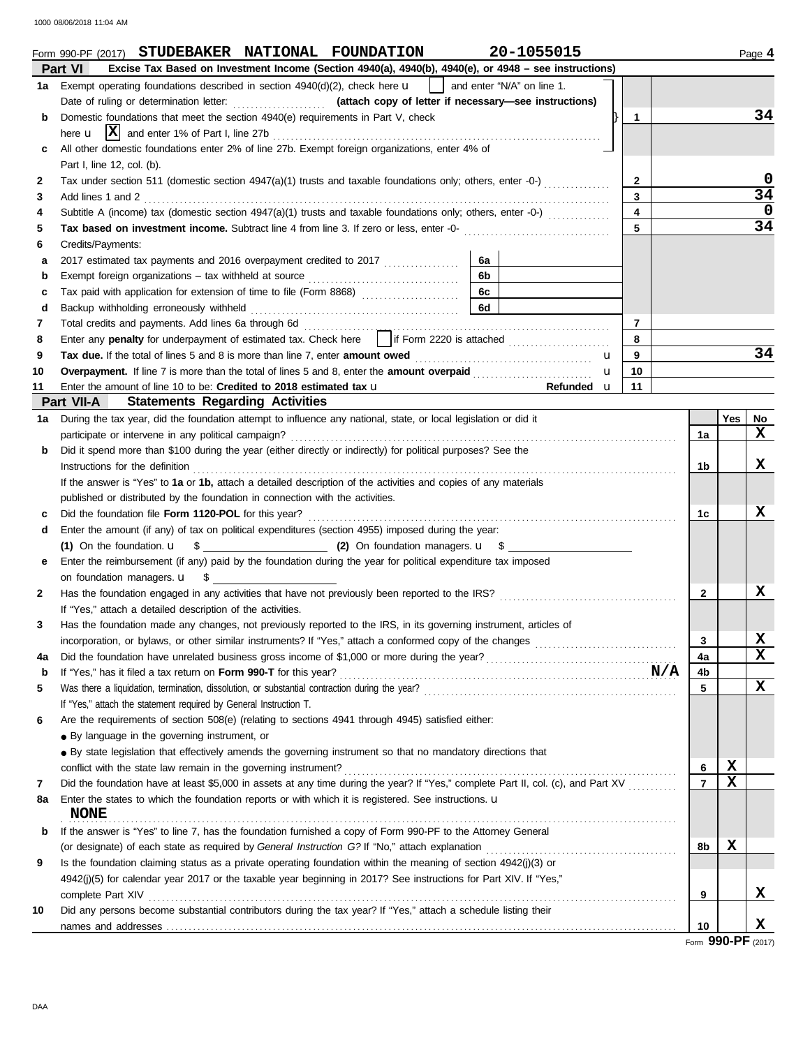1000 08/06/2018 11:04 AM

|    | 20-1055015<br>Form 990-PF (2017) STUDEBAKER NATIONAL FOUNDATION                                                                                                                                                                |                         |                |             | Page 4          |
|----|--------------------------------------------------------------------------------------------------------------------------------------------------------------------------------------------------------------------------------|-------------------------|----------------|-------------|-----------------|
|    | Part VI<br>Excise Tax Based on Investment Income (Section 4940(a), 4940(b), 4940(e), or 4948 - see instructions)                                                                                                               |                         |                |             |                 |
|    | and enter "N/A" on line 1.<br>1a Exempt operating foundations described in section 4940(d)(2), check here <b>u</b>                                                                                                             |                         |                |             |                 |
|    |                                                                                                                                                                                                                                |                         |                |             |                 |
| b  | Domestic foundations that meet the section 4940(e) requirements in Part V, check                                                                                                                                               | 1                       |                |             | 34              |
|    |                                                                                                                                                                                                                                |                         |                |             |                 |
| c  | All other domestic foundations enter 2% of line 27b. Exempt foreign organizations, enter 4% of                                                                                                                                 |                         |                |             |                 |
|    | Part I, line 12, col. (b).                                                                                                                                                                                                     |                         |                |             |                 |
| 2  | Tax under section 511 (domestic section 4947(a)(1) trusts and taxable foundations only; others, enter -0-)                                                                                                                     | $\mathbf{2}$            |                |             | 0               |
| 3  | Add lines 1 and 2                                                                                                                                                                                                              | 3                       |                |             | $\overline{34}$ |
| 4  | Subtitle A (income) tax (domestic section $4947(a)(1)$ trusts and taxable foundations only; others, enter -0-) $(1, 2, 3, 3, 4)$                                                                                               | $\overline{\mathbf{4}}$ |                |             | 0               |
| 5  | Tax based on investment income. Subtract line 4 from line 3. If zero or less, enter -0-                                                                                                                                        | 5                       |                |             | $\overline{34}$ |
| 6  | Credits/Payments:                                                                                                                                                                                                              |                         |                |             |                 |
| a  | 6a                                                                                                                                                                                                                             |                         |                |             |                 |
| b  | 6b                                                                                                                                                                                                                             |                         |                |             |                 |
| c  | 6c                                                                                                                                                                                                                             |                         |                |             |                 |
| d  | 6d                                                                                                                                                                                                                             |                         |                |             |                 |
| 7  |                                                                                                                                                                                                                                | $\overline{7}$          |                |             |                 |
| 8  | Enter any penalty for underpayment of estimated tax. Check here     if Form 2220 is attached                                                                                                                                   | 8                       |                |             |                 |
| 9  | Tax due. If the total of lines 5 and 8 is more than line 7, enter amount owed <i></i><br>u                                                                                                                                     | 9                       |                |             | 34              |
| 10 | Overpayment. If line 7 is more than the total of lines 5 and 8, enter the amount overpaid<br>$\mathbf{u}$                                                                                                                      | 10                      |                |             |                 |
| 11 | Enter the amount of line 10 to be: Credited to 2018 estimated tax u<br>Refunded u                                                                                                                                              | 11                      |                |             |                 |
|    | <b>Statements Regarding Activities</b><br>Part VII-A                                                                                                                                                                           |                         |                |             |                 |
| 1а | During the tax year, did the foundation attempt to influence any national, state, or local legislation or did it                                                                                                               |                         |                | Yes         | No              |
|    | participate or intervene in any political campaign?                                                                                                                                                                            |                         | 1a             |             | x               |
| b  | Did it spend more than \$100 during the year (either directly or indirectly) for political purposes? See the                                                                                                                   |                         |                |             |                 |
|    | Instructions for the definition                                                                                                                                                                                                |                         | 1b             |             | X               |
|    | If the answer is "Yes" to 1a or 1b, attach a detailed description of the activities and copies of any materials                                                                                                                |                         |                |             |                 |
|    | published or distributed by the foundation in connection with the activities.                                                                                                                                                  |                         |                |             |                 |
| c  |                                                                                                                                                                                                                                |                         | 1c             |             | x               |
| d  | Enter the amount (if any) of tax on political expenditures (section 4955) imposed during the year:                                                                                                                             |                         |                |             |                 |
|    | (1) On the foundation. $\mathbf{u} = \begin{bmatrix} 0 \\ 1 \end{bmatrix}$ On foundation managers. $\mathbf{u} = \begin{bmatrix} 0 \\ 1 \end{bmatrix}$                                                                         |                         |                |             |                 |
| е  | Enter the reimbursement (if any) paid by the foundation during the year for political expenditure tax imposed                                                                                                                  |                         |                |             |                 |
|    | on foundation managers. <b>u</b> \$                                                                                                                                                                                            |                         |                |             |                 |
| 2  |                                                                                                                                                                                                                                |                         | $\mathbf{2}$   |             | x               |
|    | If "Yes," attach a detailed description of the activities.                                                                                                                                                                     |                         |                |             |                 |
|    | Has the foundation made any changes, not previously reported to the IRS, in its governing instrument, articles of                                                                                                              |                         |                |             |                 |
|    |                                                                                                                                                                                                                                |                         | 3              |             | X               |
|    |                                                                                                                                                                                                                                |                         | 4a             |             | X               |
| 4a |                                                                                                                                                                                                                                |                         | 4b             |             |                 |
| b  |                                                                                                                                                                                                                                |                         | 5              |             | X               |
| 5  |                                                                                                                                                                                                                                |                         |                |             |                 |
|    | If "Yes," attach the statement required by General Instruction T.                                                                                                                                                              |                         |                |             |                 |
| 6  | Are the requirements of section 508(e) (relating to sections 4941 through 4945) satisfied either:                                                                                                                              |                         |                |             |                 |
|    | • By language in the governing instrument, or                                                                                                                                                                                  |                         |                |             |                 |
|    | • By state legislation that effectively amends the governing instrument so that no mandatory directions that                                                                                                                   |                         |                |             |                 |
|    | conflict with the state law remain in the governing instrument?                                                                                                                                                                |                         | 6              | $\mathbf x$ |                 |
| 7  | Did the foundation have at least \$5,000 in assets at any time during the year? If "Yes," complete Part II, col. (c), and Part XV                                                                                              |                         | $\overline{7}$ | X           |                 |
| 8а | Enter the states to which the foundation reports or with which it is registered. See instructions. u<br><b>NONE</b>                                                                                                            |                         |                |             |                 |
| b  | If the answer is "Yes" to line 7, has the foundation furnished a copy of Form 990-PF to the Attorney General                                                                                                                   |                         |                |             |                 |
|    |                                                                                                                                                                                                                                |                         | 8b             | $\mathbf x$ |                 |
| 9  | Is the foundation claiming status as a private operating foundation within the meaning of section 4942(j)(3) or                                                                                                                |                         |                |             |                 |
|    | 4942(j)(5) for calendar year 2017 or the taxable year beginning in 2017? See instructions for Part XIV. If "Yes,"                                                                                                              |                         |                |             |                 |
|    | complete Part XIV encourance and contact the complete Part XIV encourance and complete Part XIV encourance and contact the contact of the contact of the contact of the contact of the contact of the contact of the contact o |                         | 9              |             | x               |
| 10 | Did any persons become substantial contributors during the tax year? If "Yes," attach a schedule listing their                                                                                                                 |                         |                |             |                 |
|    |                                                                                                                                                                                                                                |                         | 10             |             | x               |
|    |                                                                                                                                                                                                                                |                         |                |             |                 |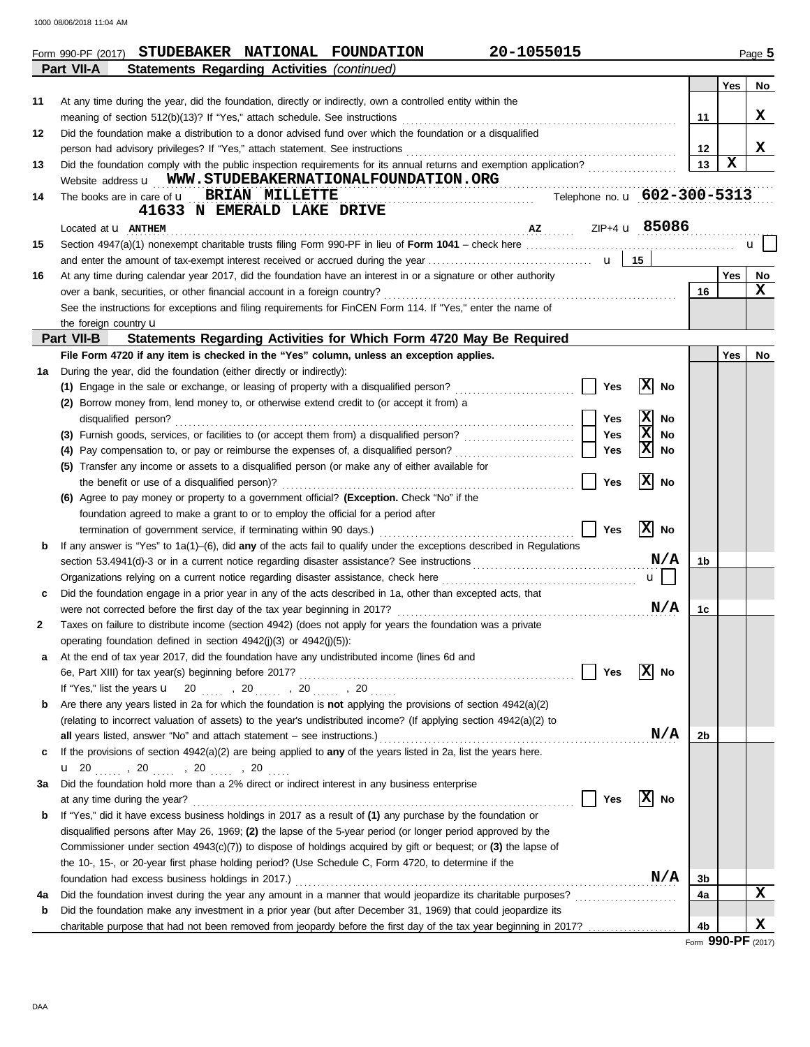1000 08/06/2018 11:04 AM

|    | 20-1055015<br>STUDEBAKER NATIONAL FOUNDATION<br>Form 990-PF (2017)                                                                                                                                                                                                                                                                                                                                                 |         |             | Page 5 |
|----|--------------------------------------------------------------------------------------------------------------------------------------------------------------------------------------------------------------------------------------------------------------------------------------------------------------------------------------------------------------------------------------------------------------------|---------|-------------|--------|
|    | Part VII-A<br>Statements Regarding Activities (continued)                                                                                                                                                                                                                                                                                                                                                          |         |             |        |
|    |                                                                                                                                                                                                                                                                                                                                                                                                                    |         | <b>Yes</b>  | No     |
| 11 | At any time during the year, did the foundation, directly or indirectly, own a controlled entity within the                                                                                                                                                                                                                                                                                                        |         |             |        |
|    | meaning of section 512(b)(13)? If "Yes," attach schedule. See instructions                                                                                                                                                                                                                                                                                                                                         | 11      |             | X      |
| 12 | Did the foundation make a distribution to a donor advised fund over which the foundation or a disqualified                                                                                                                                                                                                                                                                                                         |         |             |        |
|    | person had advisory privileges? If "Yes," attach statement. See instructions                                                                                                                                                                                                                                                                                                                                       | $12 \,$ |             | X      |
| 13 |                                                                                                                                                                                                                                                                                                                                                                                                                    | 13      | $\mathbf x$ |        |
|    | Website address <b>u</b> WWW.STUDEBAKERNATIONALFOUNDATION.ORG                                                                                                                                                                                                                                                                                                                                                      |         |             |        |
| 14 | Telephone no. u 602-300-5313<br>The books are in care of <b>u</b> BRIAN MILLETTE                                                                                                                                                                                                                                                                                                                                   |         |             |        |
|    | 41633 N EMERALD LAKE DRIVE                                                                                                                                                                                                                                                                                                                                                                                         |         |             |        |
|    | $\overline{1}$ $\overline{1}$ $\overline{2}$ $\overline{1}$ $\overline{1}$ $\overline{1}$ $\overline{2}$ $\overline{1}$ $\overline{2}$ $\overline{1}$ $\overline{1}$ $\overline{1}$ $\overline{1}$ $\overline{2}$ $\overline{1}$ $\overline{2}$ $\overline{1}$ $\overline{1}$ $\overline{1}$ $\overline{1}$ $\overline{2}$ $\overline{1}$ $\overline{2}$ $\overline{1}$ $\overline{$<br>Located at <b>u ANTHEM</b> |         |             |        |
| 15 |                                                                                                                                                                                                                                                                                                                                                                                                                    |         |             | u      |
|    |                                                                                                                                                                                                                                                                                                                                                                                                                    |         |             |        |
| 16 | At any time during calendar year 2017, did the foundation have an interest in or a signature or other authority                                                                                                                                                                                                                                                                                                    |         | <b>Yes</b>  | No     |
|    | over a bank, securities, or other financial account in a foreign country?                                                                                                                                                                                                                                                                                                                                          | 16      |             | x      |
|    | See the instructions for exceptions and filing requirements for FinCEN Form 114. If "Yes," enter the name of                                                                                                                                                                                                                                                                                                       |         |             |        |
|    | the foreign country $\mathbf u$                                                                                                                                                                                                                                                                                                                                                                                    |         |             |        |
|    | Part VII-B<br>Statements Regarding Activities for Which Form 4720 May Be Required                                                                                                                                                                                                                                                                                                                                  |         |             |        |
|    | File Form 4720 if any item is checked in the "Yes" column, unless an exception applies.                                                                                                                                                                                                                                                                                                                            |         | Yes         | No     |
| 1a | During the year, did the foundation (either directly or indirectly):                                                                                                                                                                                                                                                                                                                                               |         |             |        |
|    | x <br>Yes<br>(1) Engage in the sale or exchange, or leasing of property with a disqualified person?<br>No                                                                                                                                                                                                                                                                                                          |         |             |        |
|    | (2) Borrow money from, lend money to, or otherwise extend credit to (or accept it from) a                                                                                                                                                                                                                                                                                                                          |         |             |        |
|    | x<br>Yes<br>No<br>disqualified person?                                                                                                                                                                                                                                                                                                                                                                             |         |             |        |
|    | X<br>Yes<br>No                                                                                                                                                                                                                                                                                                                                                                                                     |         |             |        |
|    | Ιx<br>Yes<br>(4) Pay compensation to, or pay or reimburse the expenses of, a disqualified person?<br>No                                                                                                                                                                                                                                                                                                            |         |             |        |
|    | (5) Transfer any income or assets to a disqualified person (or make any of either available for                                                                                                                                                                                                                                                                                                                    |         |             |        |
|    | x <br>Yes<br>No<br>the benefit or use of a disqualified person)?                                                                                                                                                                                                                                                                                                                                                   |         |             |        |
|    | (6) Agree to pay money or property to a government official? (Exception. Check "No" if the                                                                                                                                                                                                                                                                                                                         |         |             |        |
|    | foundation agreed to make a grant to or to employ the official for a period after                                                                                                                                                                                                                                                                                                                                  |         |             |        |
|    | x <br>Yes<br>No<br>termination of government service, if terminating within 90 days.)                                                                                                                                                                                                                                                                                                                              |         |             |        |
| b  | If any answer is "Yes" to $1a(1)$ –(6), did any of the acts fail to qualify under the exceptions described in Regulations                                                                                                                                                                                                                                                                                          |         |             |        |
|    | N/A                                                                                                                                                                                                                                                                                                                                                                                                                | 1b      |             |        |
|    | $\mathbf{u}$                                                                                                                                                                                                                                                                                                                                                                                                       |         |             |        |
|    | Did the foundation engage in a prior year in any of the acts described in 1a, other than excepted acts, that                                                                                                                                                                                                                                                                                                       |         |             |        |
|    | N/A                                                                                                                                                                                                                                                                                                                                                                                                                | 1c      |             |        |
|    | Taxes on failure to distribute income (section 4942) (does not apply for years the foundation was a private                                                                                                                                                                                                                                                                                                        |         |             |        |
| 2  | operating foundation defined in section 4942(j)(3) or 4942(j)(5)):                                                                                                                                                                                                                                                                                                                                                 |         |             |        |
|    |                                                                                                                                                                                                                                                                                                                                                                                                                    |         |             |        |
| а  | At the end of tax year 2017, did the foundation have any undistributed income (lines 6d and<br> X <br>Yes<br>No                                                                                                                                                                                                                                                                                                    |         |             |        |
|    | 6e, Part XIII) for tax year(s) beginning before 2017?                                                                                                                                                                                                                                                                                                                                                              |         |             |        |
|    | If "Yes," list the years $\mathbf{u}$ 20  , 20  , 20  , 20<br>Are there any years listed in 2a for which the foundation is not applying the provisions of section 4942(a)(2)                                                                                                                                                                                                                                       |         |             |        |
| b  |                                                                                                                                                                                                                                                                                                                                                                                                                    |         |             |        |
|    | (relating to incorrect valuation of assets) to the year's undistributed income? (If applying section 4942(a)(2) to<br>N/A                                                                                                                                                                                                                                                                                          |         |             |        |
|    | all years listed, answer "No" and attach statement – see instructions.)                                                                                                                                                                                                                                                                                                                                            | 2b      |             |        |
| c  | If the provisions of section 4942(a)(2) are being applied to any of the years listed in 2a, list the years here.                                                                                                                                                                                                                                                                                                   |         |             |        |
|    |                                                                                                                                                                                                                                                                                                                                                                                                                    |         |             |        |
| За | Did the foundation hold more than a 2% direct or indirect interest in any business enterprise                                                                                                                                                                                                                                                                                                                      |         |             |        |
|    | $ X $ No<br>Yes<br>at any time during the year?                                                                                                                                                                                                                                                                                                                                                                    |         |             |        |
| b  | If "Yes," did it have excess business holdings in 2017 as a result of (1) any purchase by the foundation or                                                                                                                                                                                                                                                                                                        |         |             |        |
|    | disqualified persons after May 26, 1969; (2) the lapse of the 5-year period (or longer period approved by the                                                                                                                                                                                                                                                                                                      |         |             |        |
|    | Commissioner under section 4943(c)(7)) to dispose of holdings acquired by gift or bequest; or (3) the lapse of                                                                                                                                                                                                                                                                                                     |         |             |        |
|    | the 10-, 15-, or 20-year first phase holding period? (Use Schedule C, Form 4720, to determine if the                                                                                                                                                                                                                                                                                                               |         |             |        |
|    | N/A<br>foundation had excess business holdings in 2017.)                                                                                                                                                                                                                                                                                                                                                           | 3b      |             |        |
| 4a | Did the foundation invest during the year any amount in a manner that would jeopardize its charitable purposes?                                                                                                                                                                                                                                                                                                    | 4a      |             | X      |
| b  | Did the foundation make any investment in a prior year (but after December 31, 1969) that could jeopardize its                                                                                                                                                                                                                                                                                                     |         |             |        |
|    | charitable purpose that had not been removed from jeopardy before the first day of the tax year beginning in 2017?                                                                                                                                                                                                                                                                                                 | 4b      |             | x      |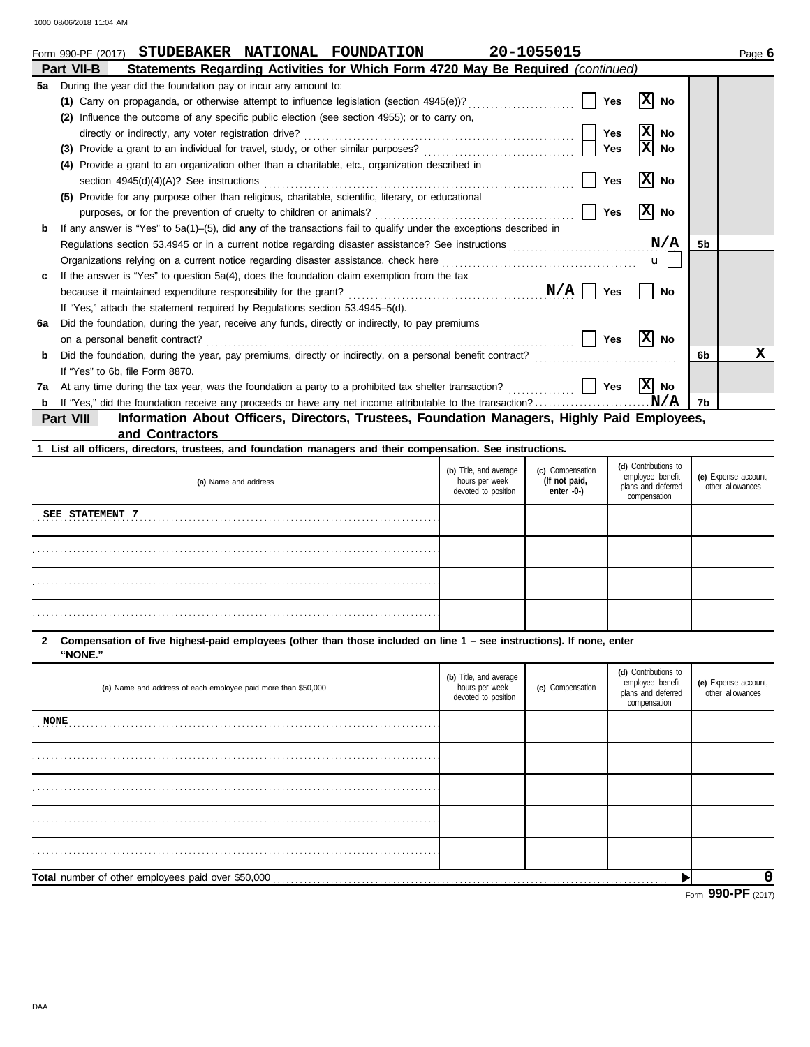|    | STUDEBAKER NATIONAL FOUNDATION<br>Form 990-PF (2017)                                                                  | 20-1055015 |                 |                | Page 6 |
|----|-----------------------------------------------------------------------------------------------------------------------|------------|-----------------|----------------|--------|
|    | Statements Regarding Activities for Which Form 4720 May Be Required (continued)<br>Part VII-B                         |            |                 |                |        |
| 5a | During the year did the foundation pay or incur any amount to:                                                        |            |                 |                |        |
|    | (1) Carry on propaganda, or otherwise attempt to influence legislation (section 4945(e))?                             | Yes        | No<br>IХ        |                |        |
|    | Influence the outcome of any specific public election (see section 4955); or to carry on,<br>(2)                      |            |                 |                |        |
|    | directly or indirectly, any voter registration drive?                                                                 | <b>Yes</b> | X<br>No         |                |        |
|    | Provide a grant to an individual for travel, study, or other similar purposes?<br>(3)                                 | <b>Yes</b> | X<br>No         |                |        |
|    | Provide a grant to an organization other than a charitable, etc., organization described in<br>(4)                    |            |                 |                |        |
|    | section $4945(d)(4)(A)?$ See instructions                                                                             | <b>Yes</b> | x <br><b>No</b> |                |        |
|    | Provide for any purpose other than religious, charitable, scientific, literary, or educational<br>(5)                 |            |                 |                |        |
|    | purposes, or for the prevention of cruelty to children or animals?                                                    | <b>Yes</b> | x <br><b>No</b> |                |        |
| b  | If any answer is "Yes" to $5a(1)$ –(5), did any of the transactions fail to qualify under the exceptions described in |            |                 |                |        |
|    |                                                                                                                       |            | N/A             | 5 <sub>b</sub> |        |
|    | Organizations relying on a current notice regarding disaster assistance, check here                                   |            | $\mathbf{u}$    |                |        |
| c  | If the answer is "Yes" to question 5a(4), does the foundation claim exemption from the tax                            |            |                 |                |        |
|    |                                                                                                                       | N/A<br>Yes | <b>No</b>       |                |        |
|    | If "Yes," attach the statement required by Regulations section 53.4945-5(d).                                          |            |                 |                |        |
| 6a | Did the foundation, during the year, receive any funds, directly or indirectly, to pay premiums                       |            |                 |                |        |
|    | on a personal benefit contract?                                                                                       | <b>Yes</b> | x <br>No        |                |        |
| b  | Did the foundation, during the year, pay premiums, directly or indirectly, on a personal benefit contract?            |            |                 | 6b             | x      |
|    | If "Yes" to 6b, file Form 8870.                                                                                       |            |                 |                |        |
| 7a | At any time during the tax year, was the foundation a party to a prohibited tax shelter transaction?                  | <b>Yes</b> | X <br>No        |                |        |
| b  |                                                                                                                       |            | N/A             | 7b             |        |

**and Contractors Part VIII Information About Officers, Directors, Trustees, Foundation Managers, Highly Paid Employees,**

| 1 List all officers, directors, trustees, and foundation managers and their compensation. See instructions. |                                                                 |                                                 |                                                                                |                                          |  |  |  |  |
|-------------------------------------------------------------------------------------------------------------|-----------------------------------------------------------------|-------------------------------------------------|--------------------------------------------------------------------------------|------------------------------------------|--|--|--|--|
| (a) Name and address                                                                                        | (b) Title, and average<br>hours per week<br>devoted to position | (c) Compensation<br>(If not paid,<br>enter -0-) | (d) Contributions to<br>employee benefit<br>plans and deferred<br>compensation | (e) Expense account,<br>other allowances |  |  |  |  |
| SEE STATEMENT 7                                                                                             |                                                                 |                                                 |                                                                                |                                          |  |  |  |  |
|                                                                                                             |                                                                 |                                                 |                                                                                |                                          |  |  |  |  |
|                                                                                                             |                                                                 |                                                 |                                                                                |                                          |  |  |  |  |
|                                                                                                             |                                                                 |                                                 |                                                                                |                                          |  |  |  |  |

**"NONE." 2 Compensation of five highest-paid employees (other than those included on line 1 – see instructions). If none, enter**

| (a) Name and address of each employee paid more than \$50,000 | (b) Title, and average<br>hours per week<br>devoted to position | (c) Compensation | (d) Contributions to<br>employee benefit<br>plans and deferred<br>compensation | (e) Expense account,<br>other allowances |
|---------------------------------------------------------------|-----------------------------------------------------------------|------------------|--------------------------------------------------------------------------------|------------------------------------------|
| <b>NONE</b>                                                   |                                                                 |                  |                                                                                |                                          |
|                                                               |                                                                 |                  |                                                                                |                                          |
|                                                               |                                                                 |                  |                                                                                |                                          |
|                                                               |                                                                 |                  |                                                                                |                                          |
|                                                               |                                                                 |                  |                                                                                |                                          |
| Total number of other employees paid over \$50,000            |                                                                 |                  |                                                                                | 0                                        |
|                                                               |                                                                 |                  |                                                                                | $F_{\text{com}}$ QQ( $D$ F $(2017)$      |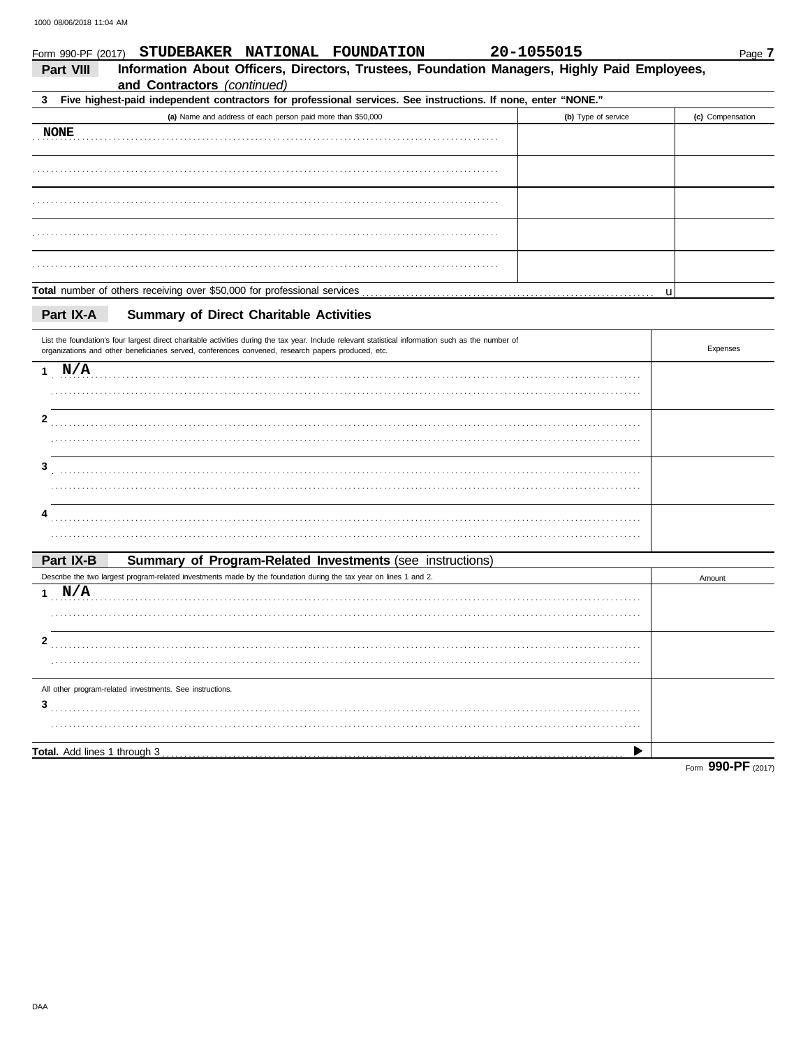| Form 990-PF (2017) | STUDEBAKER NATIONAL FOUNDATION                                                                                                                                                                                                                            | 20-1055015 |                     |             | Page 7           |
|--------------------|-----------------------------------------------------------------------------------------------------------------------------------------------------------------------------------------------------------------------------------------------------------|------------|---------------------|-------------|------------------|
| Part VIII          | Information About Officers, Directors, Trustees, Foundation Managers, Highly Paid Employees,<br>and Contractors (continued)                                                                                                                               |            |                     |             |                  |
| 3                  | Five highest-paid independent contractors for professional services. See instructions. If none, enter "NONE."                                                                                                                                             |            |                     |             |                  |
|                    | (a) Name and address of each person paid more than \$50,000                                                                                                                                                                                               |            | (b) Type of service |             | (c) Compensation |
| <b>NONE</b>        |                                                                                                                                                                                                                                                           |            |                     |             |                  |
|                    |                                                                                                                                                                                                                                                           |            |                     |             |                  |
|                    |                                                                                                                                                                                                                                                           |            |                     |             |                  |
|                    |                                                                                                                                                                                                                                                           |            |                     |             |                  |
|                    |                                                                                                                                                                                                                                                           |            |                     |             |                  |
|                    |                                                                                                                                                                                                                                                           |            |                     | $\mathbf u$ |                  |
| Part IX-A          | <b>Summary of Direct Charitable Activities</b>                                                                                                                                                                                                            |            |                     |             |                  |
|                    | List the foundation's four largest direct charitable activities during the tax year. Include relevant statistical information such as the number of<br>organizations and other beneficiaries served, conferences convened, research papers produced, etc. |            |                     |             | Expenses         |
| $1$ N/A            |                                                                                                                                                                                                                                                           |            |                     |             |                  |
|                    |                                                                                                                                                                                                                                                           |            |                     |             |                  |
| 2                  |                                                                                                                                                                                                                                                           |            |                     |             |                  |
|                    |                                                                                                                                                                                                                                                           |            |                     |             |                  |
| 3                  |                                                                                                                                                                                                                                                           |            |                     |             |                  |
|                    |                                                                                                                                                                                                                                                           |            |                     |             |                  |
|                    |                                                                                                                                                                                                                                                           |            |                     |             |                  |
|                    |                                                                                                                                                                                                                                                           |            |                     |             |                  |
| Part IX-B          | Summary of Program-Related Investments (see instructions)                                                                                                                                                                                                 |            |                     |             |                  |
|                    | Describe the two largest program-related investments made by the foundation during the tax year on lines 1 and 2.                                                                                                                                         |            |                     |             | Amount           |
| 1 N/A              |                                                                                                                                                                                                                                                           |            |                     |             |                  |
|                    |                                                                                                                                                                                                                                                           |            |                     |             |                  |
| 2                  |                                                                                                                                                                                                                                                           |            |                     |             |                  |
|                    |                                                                                                                                                                                                                                                           |            |                     |             |                  |
|                    | All other program-related investments. See instructions.                                                                                                                                                                                                  |            |                     |             |                  |
| 3                  |                                                                                                                                                                                                                                                           |            |                     |             |                  |
|                    |                                                                                                                                                                                                                                                           |            |                     |             |                  |
|                    |                                                                                                                                                                                                                                                           |            |                     |             |                  |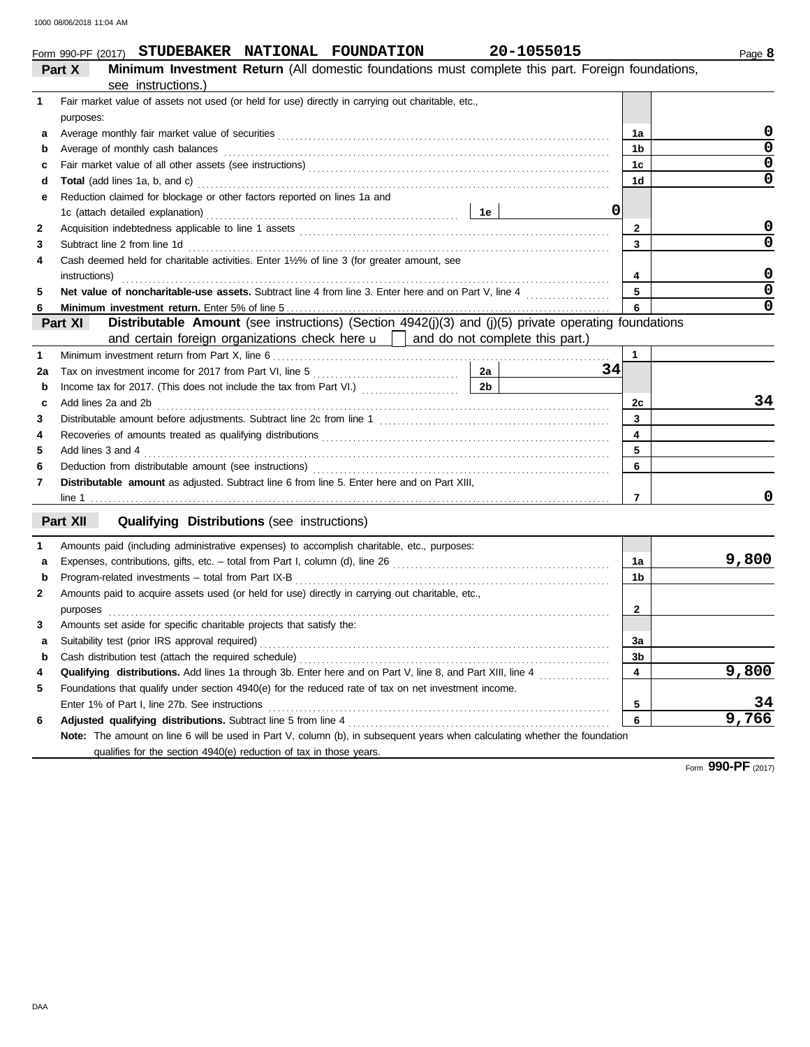|         |  | Form 990-PF (2017) STUDEBAKER NATIONAL FOUNDATION | 20-1055015                                                                            |
|---------|--|---------------------------------------------------|---------------------------------------------------------------------------------------|
| $P = 1$ |  |                                                   | Minimum Investment Deturn (All demostic foundations must complete this next. $\Gamma$ |

|    | <b>Minimum Investment Return</b> (All domestic foundations must complete this part. Foreign foundations,<br>Part X         |                |             |
|----|----------------------------------------------------------------------------------------------------------------------------|----------------|-------------|
|    | see instructions.)                                                                                                         |                |             |
| 1  | Fair market value of assets not used (or held for use) directly in carrying out charitable, etc.,                          |                |             |
|    | purposes:                                                                                                                  |                |             |
| а  |                                                                                                                            | 1a             | 0           |
| b  | Average of monthly cash balances                                                                                           | 1b             | $\mathbf 0$ |
| c  |                                                                                                                            | 1c             | $\mathbf 0$ |
| d  |                                                                                                                            | 1d             | $\mathbf 0$ |
| е  | Reduction claimed for blockage or other factors reported on lines 1a and                                                   |                |             |
|    | 0                                                                                                                          |                |             |
| 2  |                                                                                                                            | $\mathbf{2}$   | 0           |
| 3  | Subtract line 2 from line 1d                                                                                               | 3              | $\Omega$    |
| 4  | Cash deemed held for charitable activities. Enter 1½% of line 3 (for greater amount, see                                   |                |             |
|    | instructions)                                                                                                              | 4              | 0           |
| 5  |                                                                                                                            | 5              | $\mathbf 0$ |
| 6  |                                                                                                                            | 6              | $\mathbf 0$ |
|    | Distributable Amount (see instructions) (Section 4942(j)(3) and (j)(5) private operating foundations<br>Part XI            |                |             |
|    | and certain foreign organizations check here $\mathbf{u}$ and do not complete this part.)                                  |                |             |
| 1  |                                                                                                                            | $\mathbf{1}$   |             |
| 2a | 2a<br>34                                                                                                                   |                |             |
| b  | 2 <sub>b</sub>                                                                                                             |                |             |
| c  | Add lines 2a and 2b                                                                                                        | 2c             | 34          |
| 3  |                                                                                                                            | 3              |             |
| 4  |                                                                                                                            | 4              |             |
| 5  | Add lines 3 and 4                                                                                                          | 5              |             |
| 6  |                                                                                                                            | 6              |             |
| 7  | Distributable amount as adjusted. Subtract line 6 from line 5. Enter here and on Part XIII,                                |                |             |
|    |                                                                                                                            | 7              | 0           |
|    | Part XII<br><b>Qualifying Distributions (see instructions)</b>                                                             |                |             |
| 1  | Amounts paid (including administrative expenses) to accomplish charitable, etc., purposes:                                 |                |             |
| a  |                                                                                                                            | 1a             | 9,800       |
| b  | Program-related investments - total from Part IX-B                                                                         | 1b             |             |
| 2  | Amounts paid to acquire assets used (or held for use) directly in carrying out charitable, etc.,                           |                |             |
|    | purposes                                                                                                                   | 2              |             |
| 3  | Amounts set aside for specific charitable projects that satisfy the:                                                       |                |             |
| a  |                                                                                                                            | За             |             |
|    |                                                                                                                            | 3 <sub>b</sub> |             |
| 4  |                                                                                                                            | 4              | 9,800       |
| 5  | Foundations that qualify under section 4940(e) for the reduced rate of tax on net investment income.                       |                |             |
|    | Enter 1% of Part I, line 27b. See instructions                                                                             | 5              | 34          |
| 6  | Adjusted qualifying distributions. Subtract line 5 from line 4 [11] content content content and all properties             | 6              | 9,766       |
|    | Note: The amount on line 6 will be used in Part V, column (b), in subsequent years when calculating whether the foundation |                |             |
|    | qualifies for the section 4940(e) reduction of tax in those years.                                                         |                |             |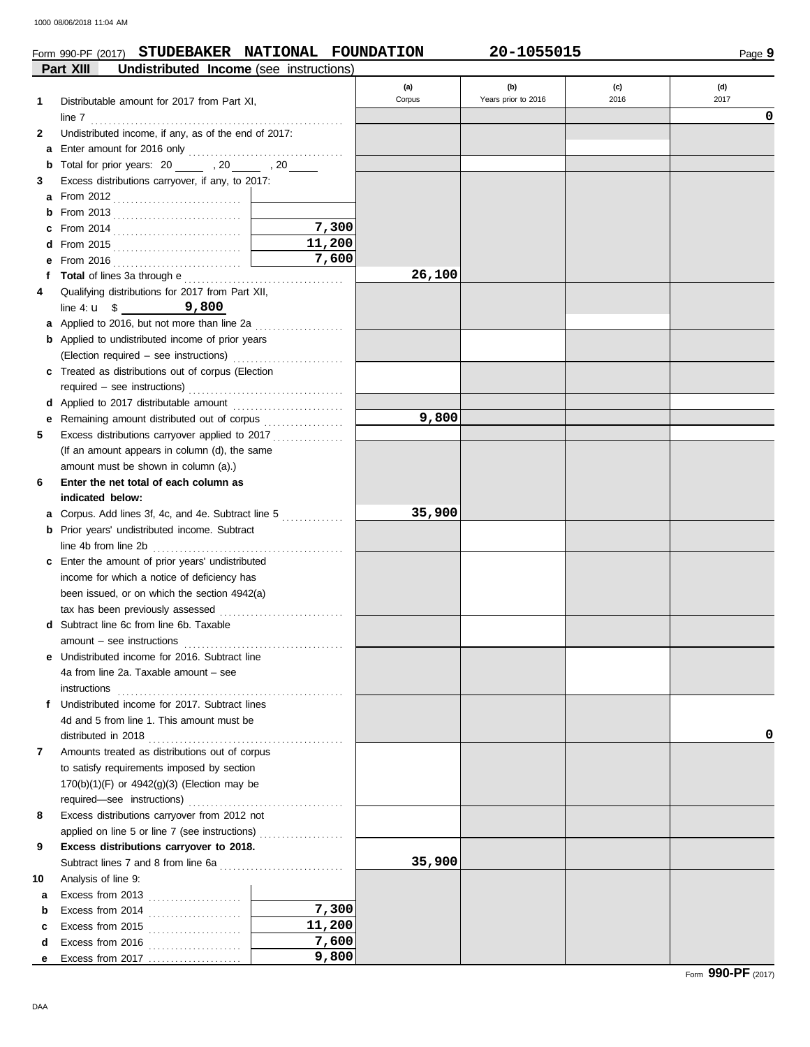### Form 990-PF (2017) **STUDEBAKER NATIONAL FOUNDATION 20-1055015**

|        | Part XIII<br>Undistributed Income (see instructions)                                           |        |        |                     |      |      |
|--------|------------------------------------------------------------------------------------------------|--------|--------|---------------------|------|------|
|        |                                                                                                |        | (a)    | (b)                 | (c)  | (d)  |
| 1      | Distributable amount for 2017 from Part XI,                                                    |        | Corpus | Years prior to 2016 | 2016 | 2017 |
|        |                                                                                                |        |        |                     |      | 0    |
| 2      | Undistributed income, if any, as of the end of 2017:                                           |        |        |                     |      |      |
| a      |                                                                                                |        |        |                     |      |      |
| b      | Total for prior years: 20 _______ , 20 _____ , 20 _____                                        |        |        |                     |      |      |
| 3      | Excess distributions carryover, if any, to 2017:                                               |        |        |                     |      |      |
| a      |                                                                                                |        |        |                     |      |      |
| b      |                                                                                                |        |        |                     |      |      |
|        |                                                                                                | 7,300  |        |                     |      |      |
|        |                                                                                                | 11,200 |        |                     |      |      |
| е      |                                                                                                | 7,600  |        |                     |      |      |
|        |                                                                                                |        | 26,100 |                     |      |      |
| 4      | Qualifying distributions for 2017 from Part XII,                                               |        |        |                     |      |      |
|        | line 4: $\mathbf{u} = \mathbf{0} - \mathbf{0}$ 9,800                                           |        |        |                     |      |      |
|        | a Applied to 2016, but not more than line 2a                                                   |        |        |                     |      |      |
|        | <b>b</b> Applied to undistributed income of prior years                                        |        |        |                     |      |      |
|        |                                                                                                |        |        |                     |      |      |
|        | c Treated as distributions out of corpus (Election                                             |        |        |                     |      |      |
|        |                                                                                                |        |        |                     |      |      |
|        |                                                                                                |        |        |                     |      |      |
| е      | Remaining amount distributed out of corpus                                                     |        | 9,800  |                     |      |      |
| 5      | Excess distributions carryover applied to 2017                                                 |        |        |                     |      |      |
|        | (If an amount appears in column (d), the same                                                  |        |        |                     |      |      |
|        | amount must be shown in column (a).)                                                           |        |        |                     |      |      |
|        |                                                                                                |        |        |                     |      |      |
| 6      | Enter the net total of each column as                                                          |        |        |                     |      |      |
|        | indicated below:                                                                               |        | 35,900 |                     |      |      |
| а      |                                                                                                |        |        |                     |      |      |
| b      | Prior years' undistributed income. Subtract                                                    |        |        |                     |      |      |
|        |                                                                                                |        |        |                     |      |      |
|        | c Enter the amount of prior years' undistributed                                               |        |        |                     |      |      |
|        | income for which a notice of deficiency has                                                    |        |        |                     |      |      |
|        | been issued, or on which the section 4942(a)                                                   |        |        |                     |      |      |
| d      | tax has been previously assessed<br>Subtract line 6c from line 6b. Taxable                     |        |        |                     |      |      |
|        |                                                                                                |        |        |                     |      |      |
|        | $amount - see instructions$                                                                    |        |        |                     |      |      |
|        | <b>e</b> Undistributed income for 2016. Subtract line<br>4a from line 2a. Taxable amount – see |        |        |                     |      |      |
|        |                                                                                                |        |        |                     |      |      |
|        | instructions<br>f Undistributed income for 2017. Subtract lines                                |        |        |                     |      |      |
|        | 4d and 5 from line 1. This amount must be                                                      |        |        |                     |      |      |
|        |                                                                                                |        |        |                     |      | 0    |
| 7      | Amounts treated as distributions out of corpus                                                 |        |        |                     |      |      |
|        | to satisfy requirements imposed by section                                                     |        |        |                     |      |      |
|        | $170(b)(1)(F)$ or $4942(g)(3)$ (Election may be                                                |        |        |                     |      |      |
|        |                                                                                                |        |        |                     |      |      |
| 8      | Excess distributions carryover from 2012 not                                                   |        |        |                     |      |      |
|        | applied on line 5 or line 7 (see instructions)                                                 |        |        |                     |      |      |
| 9      | Excess distributions carryover to 2018.                                                        |        |        |                     |      |      |
|        |                                                                                                |        | 35,900 |                     |      |      |
| 10     | Analysis of line 9:                                                                            |        |        |                     |      |      |
|        |                                                                                                |        |        |                     |      |      |
| a<br>b | Excess from 2013 $\ldots$                                                                      | 7,300  |        |                     |      |      |
|        | Excess from 2014 $\ldots$                                                                      | 11,200 |        |                     |      |      |
| c<br>d | Excess from 2015 $\ldots$                                                                      | 7,600  |        |                     |      |      |
| е      | Excess from 2016 $\ldots$                                                                      | 9,800  |        |                     |      |      |
|        |                                                                                                |        |        |                     |      |      |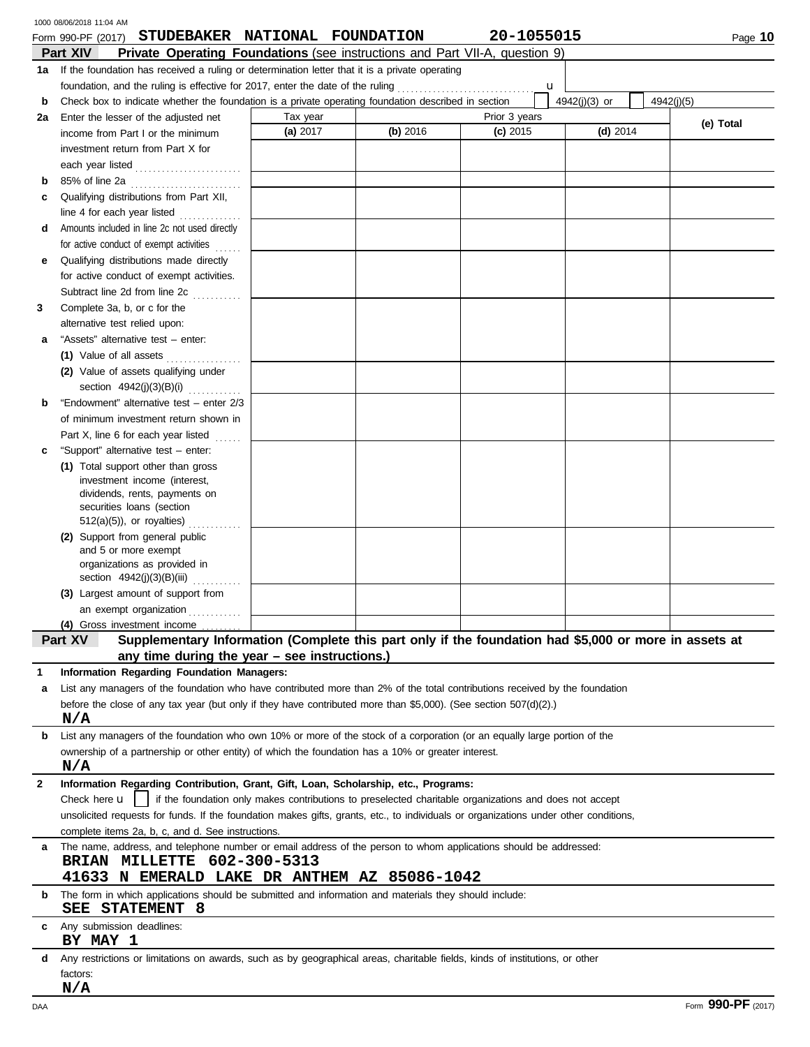|              | 1000 08/06/2018 11:04 AM                                                                                                             |          |          |                                                                                                        |               |            |
|--------------|--------------------------------------------------------------------------------------------------------------------------------------|----------|----------|--------------------------------------------------------------------------------------------------------|---------------|------------|
|              | STUDEBAKER NATIONAL FOUNDATION<br>Form 990-PF (2017)                                                                                 |          |          | 20-1055015                                                                                             |               | Page 10    |
|              | Part XIV<br><b>Private Operating Foundations</b> (see instructions and Part VII-A, question 9)                                       |          |          |                                                                                                        |               |            |
|              | 1a If the foundation has received a ruling or determination letter that it is a private operating                                    |          |          |                                                                                                        |               |            |
|              | foundation, and the ruling is effective for 2017, enter the date of the ruling                                                       |          |          | u                                                                                                      |               |            |
| b            | Check box to indicate whether the foundation is a private operating foundation described in section                                  |          |          |                                                                                                        | 4942(j)(3) or | 4942(i)(5) |
| 2a           | Enter the lesser of the adjusted net                                                                                                 | Tax year |          | Prior 3 years                                                                                          |               | (e) Total  |
|              | income from Part I or the minimum                                                                                                    | (a) 2017 | (b) 2016 | $(c)$ 2015                                                                                             | $(d)$ 2014    |            |
|              | investment return from Part X for                                                                                                    |          |          |                                                                                                        |               |            |
|              | each year listed                                                                                                                     |          |          |                                                                                                        |               |            |
| b            | 85% of line 2a                                                                                                                       |          |          |                                                                                                        |               |            |
| c            | Qualifying distributions from Part XII,                                                                                              |          |          |                                                                                                        |               |            |
|              | line 4 for each year listed                                                                                                          |          |          |                                                                                                        |               |            |
| d            | Amounts included in line 2c not used directly                                                                                        |          |          |                                                                                                        |               |            |
|              | for active conduct of exempt activities                                                                                              |          |          |                                                                                                        |               |            |
| е            | Qualifying distributions made directly                                                                                               |          |          |                                                                                                        |               |            |
|              | for active conduct of exempt activities.                                                                                             |          |          |                                                                                                        |               |            |
|              | Subtract line 2d from line 2c<br>in de la provincia della con-                                                                       |          |          |                                                                                                        |               |            |
| 3            | Complete 3a, b, or c for the                                                                                                         |          |          |                                                                                                        |               |            |
|              | alternative test relied upon:                                                                                                        |          |          |                                                                                                        |               |            |
| а            | "Assets" alternative test - enter:                                                                                                   |          |          |                                                                                                        |               |            |
|              | (1) Value of all assets                                                                                                              |          |          |                                                                                                        |               |            |
|              | (2) Value of assets qualifying under                                                                                                 |          |          |                                                                                                        |               |            |
|              | section 4942(j)(3)(B)(i)                                                                                                             |          |          |                                                                                                        |               |            |
| b            | "Endowment" alternative test - enter 2/3                                                                                             |          |          |                                                                                                        |               |            |
|              | of minimum investment return shown in                                                                                                |          |          |                                                                                                        |               |            |
|              | Part X, line 6 for each year listed<br>.                                                                                             |          |          |                                                                                                        |               |            |
| c            | "Support" alternative test - enter:                                                                                                  |          |          |                                                                                                        |               |            |
|              | (1) Total support other than gross<br>investment income (interest,                                                                   |          |          |                                                                                                        |               |            |
|              | dividends, rents, payments on                                                                                                        |          |          |                                                                                                        |               |            |
|              | securities loans (section                                                                                                            |          |          |                                                                                                        |               |            |
|              | $512(a)(5)$ , or royalties)                                                                                                          |          |          |                                                                                                        |               |            |
|              | (2) Support from general public                                                                                                      |          |          |                                                                                                        |               |            |
|              | and 5 or more exempt                                                                                                                 |          |          |                                                                                                        |               |            |
|              | organizations as provided in                                                                                                         |          |          |                                                                                                        |               |            |
|              | section 4942(j)(3)(B)(iii)<br>(3) Largest amount of support from                                                                     |          |          |                                                                                                        |               |            |
|              | an exempt organization                                                                                                               |          |          |                                                                                                        |               |            |
|              | (4) Gross investment income                                                                                                          |          |          |                                                                                                        |               |            |
|              | Supplementary Information (Complete this part only if the foundation had \$5,000 or more in assets at<br>Part XV                     |          |          |                                                                                                        |               |            |
|              | any time during the year - see instructions.)                                                                                        |          |          |                                                                                                        |               |            |
| 1            | Information Regarding Foundation Managers:                                                                                           |          |          |                                                                                                        |               |            |
| a            | List any managers of the foundation who have contributed more than 2% of the total contributions received by the foundation          |          |          |                                                                                                        |               |            |
|              | before the close of any tax year (but only if they have contributed more than \$5,000). (See section $507(d)(2)$ .)                  |          |          |                                                                                                        |               |            |
|              | N/A                                                                                                                                  |          |          |                                                                                                        |               |            |
| b            | List any managers of the foundation who own 10% or more of the stock of a corporation (or an equally large portion of the            |          |          |                                                                                                        |               |            |
|              | ownership of a partnership or other entity) of which the foundation has a 10% or greater interest.                                   |          |          |                                                                                                        |               |            |
|              | N/A                                                                                                                                  |          |          |                                                                                                        |               |            |
| $\mathbf{2}$ | Information Regarding Contribution, Grant, Gift, Loan, Scholarship, etc., Programs:                                                  |          |          |                                                                                                        |               |            |
|              | Check here <b>u</b>                                                                                                                  |          |          | if the foundation only makes contributions to preselected charitable organizations and does not accept |               |            |
|              | unsolicited requests for funds. If the foundation makes gifts, grants, etc., to individuals or organizations under other conditions, |          |          |                                                                                                        |               |            |
|              | complete items 2a, b, c, and d. See instructions.                                                                                    |          |          |                                                                                                        |               |            |
| a            | The name, address, and telephone number or email address of the person to whom applications should be addressed:                     |          |          |                                                                                                        |               |            |
|              | BRIAN MILLETTE 602-300-5313                                                                                                          |          |          |                                                                                                        |               |            |
|              | 41633 N EMERALD LAKE DR ANTHEM AZ 85086-1042                                                                                         |          |          |                                                                                                        |               |            |
| b            | The form in which applications should be submitted and information and materials they should include:<br>STATEMENT 8<br>SEE          |          |          |                                                                                                        |               |            |
| С            | Any submission deadlines:<br>BY MAY 1                                                                                                |          |          |                                                                                                        |               |            |
| d            | Any restrictions or limitations on awards, such as by geographical areas, charitable fields, kinds of institutions, or other         |          |          |                                                                                                        |               |            |
|              | factors:                                                                                                                             |          |          |                                                                                                        |               |            |
|              | N/A                                                                                                                                  |          |          |                                                                                                        |               |            |
|              |                                                                                                                                      |          |          |                                                                                                        |               | 000 DE     |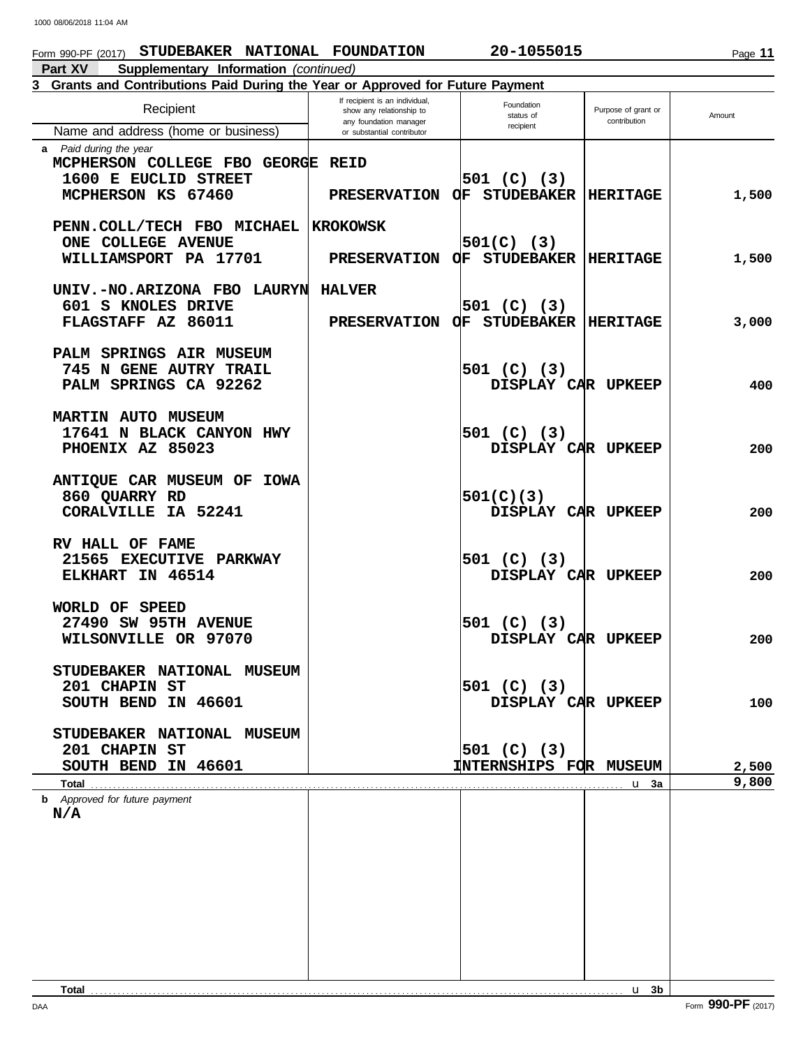# Form 990-PF (2017) **STUDEBAKER NATIONAL FOUNDATION 20-1055015**

**Part XV Supplementary Information** *(continued)*

# **3 Grants and Contributions Paid During the Year or Approved for Future Payment**

| Recipient                                                                                                   | If recipient is an individual,<br>show any relationship to | Foundation<br>status of               | Purpose of grant or | Amount         |
|-------------------------------------------------------------------------------------------------------------|------------------------------------------------------------|---------------------------------------|---------------------|----------------|
| Name and address (home or business)                                                                         | any foundation manager<br>or substantial contributor       | recipient                             | contribution        |                |
| <b>a</b> Paid during the year<br>MCPHERSON COLLEGE FBO GEORGE<br>1600 E EUCLID STREET<br>MCPHERSON KS 67460 | <b>REID</b><br><b>PRESERVATION</b>                         | $501$ (C) (3)<br><b>OF STUDEBAKER</b> | <b>HERITAGE</b>     | 1,500          |
| PENN.COLL/TECH FBO MICHAEL<br><b>ONE COLLEGE AVENUE</b>                                                     | <b>KROKOWSK</b>                                            | $501(C)$ (3)                          |                     |                |
| WILLIAMSPORT PA 17701                                                                                       | <b>PRESERVATION</b>                                        | <b>OF STUDEBAKER</b>                  | <b>HERITAGE</b>     | 1,500          |
| UNIV.-NO.ARIZONA FBO LAURYN                                                                                 | <b>HALVER</b>                                              |                                       |                     |                |
| 601 S KNOLES DRIVE<br>FLAGSTAFF AZ 86011                                                                    | <b>PRESERVATION</b>                                        | $501$ (C) (3)<br>OF STUDEBAKER        | <b>HERITAGE</b>     | 3,000          |
| PALM SPRINGS AIR MUSEUM<br>745 N GENE AUTRY TRAIL<br>PALM SPRINGS CA 92262                                  |                                                            | $501$ (C) (3)<br>DISPLAY CAR UPKEEP   |                     | 400            |
| <b>MARTIN AUTO MUSEUM</b><br>17641 N BLACK CANYON HWY<br>PHOENIX AZ 85023                                   |                                                            | $501$ (C) (3)<br>DISPLAY CAR UPKEEP   |                     | 200            |
| ANTIQUE CAR MUSEUM OF IOWA<br>860 QUARRY RD<br>CORALVILLE IA 52241                                          |                                                            | 501(C)(3)<br>DISPLAY CAR UPKEEP       |                     | 200            |
| RV HALL OF FAME<br>21565 EXECUTIVE PARKWAY<br>ELKHART IN 46514                                              |                                                            | $501$ (C) (3)<br>DISPLAY CAR UPKEEP   |                     | 200            |
| WORLD OF SPEED<br>27490 SW 95TH AVENUE<br>WILSONVILLE OR 97070                                              |                                                            | $501$ (C) (3)<br>DISPLAY CAR UPKEEP   |                     | 200            |
| STUDEBAKER NATIONAL MUSEUM<br>201 CHAPIN ST<br>SOUTH BEND IN 46601                                          |                                                            | 501 (C) (3)<br>DISPLAY CAR UPKEEP     |                     | 100            |
| STUDEBAKER NATIONAL MUSEUM<br>201 CHAPIN ST                                                                 |                                                            | 501 (C) (3)                           |                     |                |
| SOUTH BEND IN 46601<br>Total                                                                                |                                                            | <b>INTERNSHIPS FOR MUSEUM</b>         | u 3a                | 2,500<br>9,800 |
| <b>b</b> Approved for future payment<br>N/A                                                                 |                                                            |                                       |                     |                |
|                                                                                                             |                                                            |                                       |                     |                |
|                                                                                                             |                                                            |                                       |                     |                |
|                                                                                                             |                                                            |                                       |                     |                |
|                                                                                                             |                                                            |                                       | $\mathbf{u}$ 3b     |                |

DAA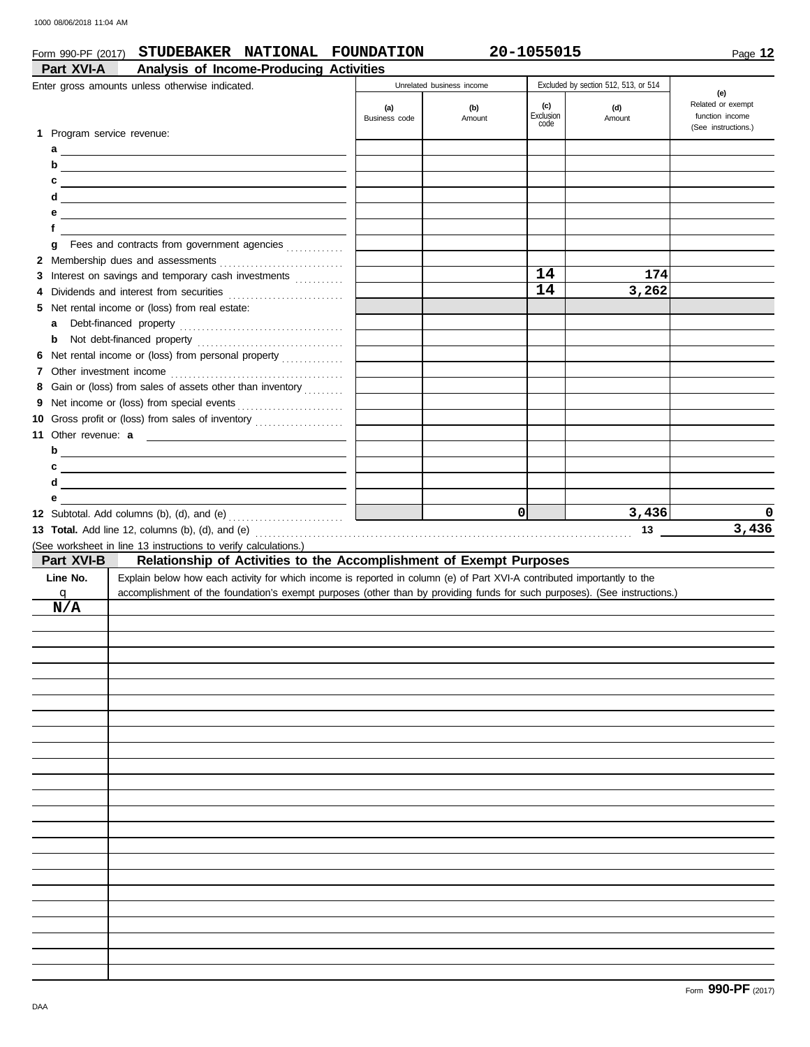### Form 990-PF (2017) **STUDEBAKER NATIONAL FOUNDATION 20-1055015**

|   | Part XVI-A  | Analysis of Income-Producing Activities<br>Enter gross amounts unless otherwise indicated.                                |                      | Unrelated business income |                  | Excluded by section 512, 513, or 514 |                          |
|---|-------------|---------------------------------------------------------------------------------------------------------------------------|----------------------|---------------------------|------------------|--------------------------------------|--------------------------|
|   |             |                                                                                                                           |                      |                           |                  |                                      | (e)<br>Related or exempt |
|   |             |                                                                                                                           | (a)<br>Business code | (b)<br>Amount             | (c)<br>Exclusion | (d)<br>Amount                        | function income          |
|   |             | 1 Program service revenue:                                                                                                |                      |                           | code             |                                      | (See instructions.)      |
|   |             |                                                                                                                           |                      |                           |                  |                                      |                          |
|   |             |                                                                                                                           |                      |                           |                  |                                      |                          |
| c |             | <u> 1989 - Johann Barn, mars ann an t-Amhain Aonaich an t-Aonaich an t-Aonaich an t-Aonaich an t-Aonaich an t-Aon</u>     |                      |                           |                  |                                      |                          |
| d |             | <u> 1980 - Johann Stein, marwolaethau a bhann an t-Amhair Aonaichte an t-Amhair Aonaichte an t-Amhair Aonaichte a</u>     |                      |                           |                  |                                      |                          |
| е |             | <u> 1989 - Andrea Aonaichte, ann an t-Èireann an t-Èireann an t-Èireann an t-Èireann an t-Èireann an t-Èireann an </u>    |                      |                           |                  |                                      |                          |
| f |             |                                                                                                                           |                      |                           |                  |                                      |                          |
| g |             |                                                                                                                           |                      |                           |                  |                                      |                          |
|   |             |                                                                                                                           |                      |                           |                  |                                      |                          |
|   |             | 3 Interest on savings and temporary cash investments                                                                      |                      |                           | 14               | 174                                  |                          |
| 4 |             | Dividends and interest from securities [11] contains and interest from securities                                         |                      |                           | 14               | 3,262                                |                          |
|   |             | 5 Net rental income or (loss) from real estate:                                                                           |                      |                           |                  |                                      |                          |
| a |             |                                                                                                                           |                      |                           |                  |                                      |                          |
| b |             |                                                                                                                           |                      |                           |                  |                                      |                          |
|   |             | 6 Net rental income or (loss) from personal property                                                                      |                      |                           |                  |                                      |                          |
|   |             |                                                                                                                           |                      |                           |                  |                                      |                          |
| 8 |             | Gain or (loss) from sales of assets other than inventory                                                                  |                      |                           |                  |                                      |                          |
| 9 |             |                                                                                                                           |                      |                           |                  |                                      |                          |
|   |             | 10 Gross profit or (loss) from sales of inventory                                                                         |                      |                           |                  |                                      |                          |
|   |             |                                                                                                                           |                      |                           |                  |                                      |                          |
|   |             | $b$ $\overline{\phantom{a}}$                                                                                              |                      |                           |                  |                                      |                          |
| c |             | <u> 1989 - Johann Stein, mars an deus an deus Angels an deus Angels an deus Angels an deus Angels an deus Angels</u>      |                      |                           |                  |                                      |                          |
| d |             | <u> 1989 - Johann Stein, mars an deus Amerikaansk kommunister (</u>                                                       |                      |                           |                  |                                      |                          |
| е |             |                                                                                                                           |                      |                           |                  |                                      |                          |
|   |             |                                                                                                                           |                      |                           | οl               |                                      | 0                        |
|   |             |                                                                                                                           |                      |                           |                  | 3,436                                |                          |
|   |             |                                                                                                                           |                      |                           |                  | 13                                   | 3,436                    |
|   |             | (See worksheet in line 13 instructions to verify calculations.)                                                           |                      |                           |                  |                                      |                          |
|   | Part XVI-B  | Relationship of Activities to the Accomplishment of Exempt Purposes                                                       |                      |                           |                  |                                      |                          |
|   | Line No.    | Explain below how each activity for which income is reported in column (e) of Part XVI-A contributed importantly to the   |                      |                           |                  |                                      |                          |
|   | $\mathbf q$ | accomplishment of the foundation's exempt purposes (other than by providing funds for such purposes). (See instructions.) |                      |                           |                  |                                      |                          |
|   | N/A         |                                                                                                                           |                      |                           |                  |                                      |                          |
|   |             |                                                                                                                           |                      |                           |                  |                                      |                          |
|   |             |                                                                                                                           |                      |                           |                  |                                      |                          |
|   |             |                                                                                                                           |                      |                           |                  |                                      |                          |
|   |             |                                                                                                                           |                      |                           |                  |                                      |                          |
|   |             |                                                                                                                           |                      |                           |                  |                                      |                          |
|   |             |                                                                                                                           |                      |                           |                  |                                      |                          |
|   |             |                                                                                                                           |                      |                           |                  |                                      |                          |
|   |             |                                                                                                                           |                      |                           |                  |                                      |                          |
|   |             |                                                                                                                           |                      |                           |                  |                                      |                          |
|   |             |                                                                                                                           |                      |                           |                  |                                      |                          |
|   |             |                                                                                                                           |                      |                           |                  |                                      |                          |
|   |             |                                                                                                                           |                      |                           |                  |                                      |                          |
|   |             |                                                                                                                           |                      |                           |                  |                                      |                          |
|   |             |                                                                                                                           |                      |                           |                  |                                      |                          |
|   |             |                                                                                                                           |                      |                           |                  |                                      |                          |
|   |             |                                                                                                                           |                      |                           |                  |                                      |                          |
|   |             |                                                                                                                           |                      |                           |                  |                                      |                          |
|   |             |                                                                                                                           |                      |                           |                  |                                      |                          |
|   |             |                                                                                                                           |                      |                           |                  |                                      |                          |
|   |             |                                                                                                                           |                      |                           |                  |                                      |                          |
|   |             |                                                                                                                           |                      |                           |                  |                                      |                          |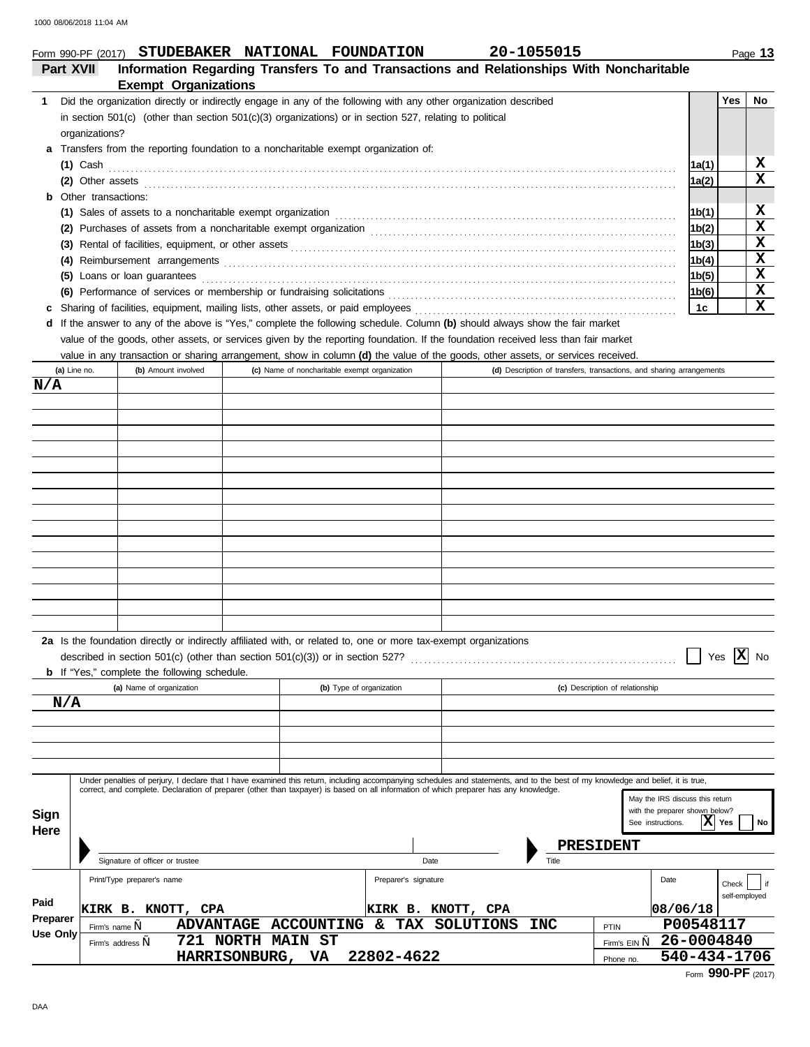|             |                              | Form 990-PF (2017) STUDEBAKER NATIONAL FOUNDATION                                                                |  |                                               | 20-1055015                                                                                                                                                                                                                                                                                                                |       |                    | Page 13     |
|-------------|------------------------------|------------------------------------------------------------------------------------------------------------------|--|-----------------------------------------------|---------------------------------------------------------------------------------------------------------------------------------------------------------------------------------------------------------------------------------------------------------------------------------------------------------------------------|-------|--------------------|-------------|
|             | Part XVII                    |                                                                                                                  |  |                                               | Information Regarding Transfers To and Transactions and Relationships With Noncharitable                                                                                                                                                                                                                                  |       |                    |             |
|             |                              | <b>Exempt Organizations</b>                                                                                      |  |                                               |                                                                                                                                                                                                                                                                                                                           |       |                    |             |
| 1.          |                              |                                                                                                                  |  |                                               | Did the organization directly or indirectly engage in any of the following with any other organization described                                                                                                                                                                                                          |       | Yes                | No.         |
|             |                              | in section 501(c) (other than section 501(c)(3) organizations) or in section 527, relating to political          |  |                                               |                                                                                                                                                                                                                                                                                                                           |       |                    |             |
|             | organizations?               |                                                                                                                  |  |                                               |                                                                                                                                                                                                                                                                                                                           |       |                    |             |
| a           |                              | Transfers from the reporting foundation to a noncharitable exempt organization of:                               |  |                                               |                                                                                                                                                                                                                                                                                                                           |       |                    |             |
|             | $(1)$ Cash                   |                                                                                                                  |  |                                               |                                                                                                                                                                                                                                                                                                                           | 1a(1) |                    | x<br>X      |
|             | <b>b</b> Other transactions: |                                                                                                                  |  |                                               | (2) Other assets <b>contract the contract of the contract of the contract of the contract of the contract of the contract of the contract of the contract of the contract of the contract of the contract of the contract of the</b>                                                                                      | 1a(2) |                    |             |
|             |                              |                                                                                                                  |  |                                               |                                                                                                                                                                                                                                                                                                                           | 1b(1) |                    | X           |
|             |                              |                                                                                                                  |  |                                               | (1) Sales of assets to a noncharitable exempt organization <i>[1]</i> Sales of assets to a noncharitable exempt organization                                                                                                                                                                                              | 1b(2) |                    | X           |
|             |                              |                                                                                                                  |  |                                               |                                                                                                                                                                                                                                                                                                                           | 1b(3) |                    | $\mathbf X$ |
|             |                              |                                                                                                                  |  |                                               |                                                                                                                                                                                                                                                                                                                           | 1b(4) |                    | $\mathbf x$ |
|             |                              | (5) Loans or loan guarantees                                                                                     |  |                                               |                                                                                                                                                                                                                                                                                                                           | 1b(5) |                    | X           |
|             |                              |                                                                                                                  |  |                                               | (6) Performance of services or membership or fundraising solicitations [1] content to content the service of services or membership or fundraising solicitations [1] content to content the service of the service of the serv                                                                                            | 1b(6) |                    | $\mathbf X$ |
| с           |                              | Sharing of facilities, equipment, mailing lists, other assets, or paid employees                                 |  |                                               |                                                                                                                                                                                                                                                                                                                           | 1c    |                    | X           |
|             |                              |                                                                                                                  |  |                                               | d If the answer to any of the above is "Yes," complete the following schedule. Column (b) should always show the fair market                                                                                                                                                                                              |       |                    |             |
|             |                              |                                                                                                                  |  |                                               | value of the goods, other assets, or services given by the reporting foundation. If the foundation received less than fair market                                                                                                                                                                                         |       |                    |             |
|             |                              |                                                                                                                  |  |                                               | value in any transaction or sharing arrangement, show in column (d) the value of the goods, other assets, or services received.                                                                                                                                                                                           |       |                    |             |
|             | (a) Line no.                 | (b) Amount involved                                                                                              |  | (c) Name of noncharitable exempt organization | (d) Description of transfers, transactions, and sharing arrangements                                                                                                                                                                                                                                                      |       |                    |             |
| N/A         |                              |                                                                                                                  |  |                                               |                                                                                                                                                                                                                                                                                                                           |       |                    |             |
|             |                              |                                                                                                                  |  |                                               |                                                                                                                                                                                                                                                                                                                           |       |                    |             |
|             |                              |                                                                                                                  |  |                                               |                                                                                                                                                                                                                                                                                                                           |       |                    |             |
|             |                              |                                                                                                                  |  |                                               |                                                                                                                                                                                                                                                                                                                           |       |                    |             |
|             |                              |                                                                                                                  |  |                                               |                                                                                                                                                                                                                                                                                                                           |       |                    |             |
|             |                              |                                                                                                                  |  |                                               |                                                                                                                                                                                                                                                                                                                           |       |                    |             |
|             |                              |                                                                                                                  |  |                                               |                                                                                                                                                                                                                                                                                                                           |       |                    |             |
|             |                              |                                                                                                                  |  |                                               |                                                                                                                                                                                                                                                                                                                           |       |                    |             |
|             |                              |                                                                                                                  |  |                                               |                                                                                                                                                                                                                                                                                                                           |       |                    |             |
|             |                              |                                                                                                                  |  |                                               |                                                                                                                                                                                                                                                                                                                           |       |                    |             |
|             |                              |                                                                                                                  |  |                                               |                                                                                                                                                                                                                                                                                                                           |       |                    |             |
|             |                              |                                                                                                                  |  |                                               |                                                                                                                                                                                                                                                                                                                           |       |                    |             |
|             |                              |                                                                                                                  |  |                                               |                                                                                                                                                                                                                                                                                                                           |       |                    |             |
|             |                              |                                                                                                                  |  |                                               |                                                                                                                                                                                                                                                                                                                           |       |                    |             |
|             |                              |                                                                                                                  |  |                                               |                                                                                                                                                                                                                                                                                                                           |       |                    |             |
|             |                              |                                                                                                                  |  |                                               |                                                                                                                                                                                                                                                                                                                           |       |                    |             |
|             |                              | 2a Is the foundation directly or indirectly affiliated with, or related to, one or more tax-exempt organizations |  |                                               |                                                                                                                                                                                                                                                                                                                           |       |                    |             |
|             |                              | described in section $501(c)$ (other than section $501(c)(3)$ ) or in section $527$ ?                            |  |                                               |                                                                                                                                                                                                                                                                                                                           |       | Yes $ \mathbf{X} $ | No          |
|             |                              | <b>b</b> If "Yes," complete the following schedule.                                                              |  |                                               |                                                                                                                                                                                                                                                                                                                           |       |                    |             |
|             |                              | (a) Name of organization                                                                                         |  | (b) Type of organization                      | (c) Description of relationship                                                                                                                                                                                                                                                                                           |       |                    |             |
|             | N/A                          |                                                                                                                  |  |                                               |                                                                                                                                                                                                                                                                                                                           |       |                    |             |
|             |                              |                                                                                                                  |  |                                               |                                                                                                                                                                                                                                                                                                                           |       |                    |             |
|             |                              |                                                                                                                  |  |                                               |                                                                                                                                                                                                                                                                                                                           |       |                    |             |
|             |                              |                                                                                                                  |  |                                               |                                                                                                                                                                                                                                                                                                                           |       |                    |             |
|             |                              |                                                                                                                  |  |                                               |                                                                                                                                                                                                                                                                                                                           |       |                    |             |
|             |                              |                                                                                                                  |  |                                               | Under penalties of perjury, I declare that I have examined this return, including accompanying schedules and statements, and to the best of my knowledge and belief, it is true,<br>correct, and complete. Declaration of preparer (other than taxpayer) is based on all information of which preparer has any knowledge. |       |                    |             |
|             |                              |                                                                                                                  |  |                                               | May the IRS discuss this return                                                                                                                                                                                                                                                                                           |       |                    |             |
| <b>Sign</b> |                              |                                                                                                                  |  |                                               | with the preparer shown below?<br>See instructions.                                                                                                                                                                                                                                                                       |       | $ \mathbf{X} $ Yes | No          |
| Here        |                              |                                                                                                                  |  |                                               |                                                                                                                                                                                                                                                                                                                           |       |                    |             |

Signature of officer or trustee Date Date Date

Firm's address **,, 721 NORTH MAIN ST 26-0004840** 

**ADVANTAGE ACCOUNTING & TAX SOLUTIONS INC PTIN P00548117**<br>721 NORTH MAIN ST HARRISONBURG, VA 22802-4622 **Finally 19th State 1200434-1706** 

**KIRK B. KNOTT, CPA RIRK B. KNOTT, CPA 18/06/18**<br>
Firm's name ... ADVANTAGE ACCOUNTING & TAX SOLUTIONS INC PTIN P00548117

|  | Form 990-PF (2017) |  |
|--|--------------------|--|
|--|--------------------|--|

self-employed

l if

Date

PTIN

**PRESIDENT**

Phone no.

Preparer's signature check and the check preparer's signature

**Paid Preparer Use Only** Print/Type preparer's name

Firm's name ,,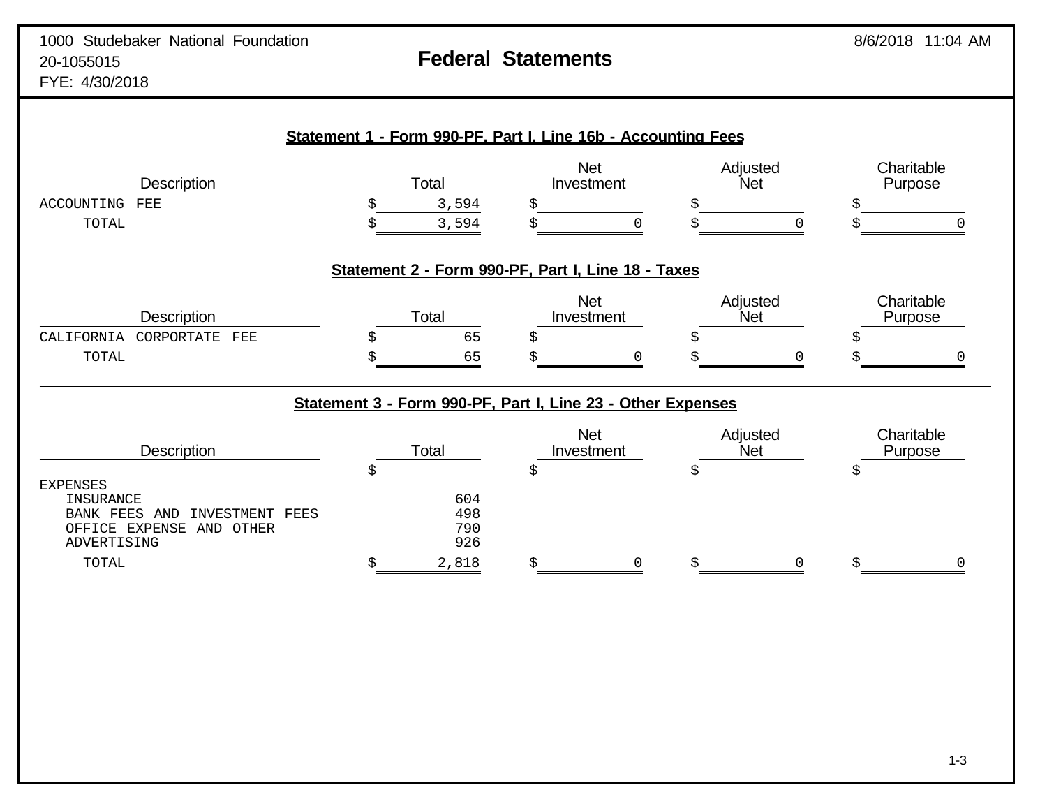| <b>Description</b>                            | Total |            | <b>Net</b><br>Investment                                    | Adjusted<br>Net | Charitable<br>Purpose |
|-----------------------------------------------|-------|------------|-------------------------------------------------------------|-----------------|-----------------------|
| ACCOUNTING<br>FEE                             |       | 3,594      |                                                             |                 |                       |
| TOTAL                                         |       | 3,594      |                                                             |                 |                       |
|                                               |       |            | Statement 2 - Form 990-PF, Part I, Line 18 - Taxes          |                 |                       |
| Description                                   | Total |            | <b>Net</b><br>Investment                                    | Adjusted<br>Net | Charitable<br>Purpose |
| CALIFORNIA<br>CORPORTATE<br>FEE               |       | 65         |                                                             |                 |                       |
| TOTAL                                         |       | 65         |                                                             |                 |                       |
|                                               |       |            | Statement 3 - Form 990-PF, Part I, Line 23 - Other Expenses |                 |                       |
| Description                                   | Total |            | <b>Net</b><br>Investment                                    | Adjusted<br>Net | Charitable<br>Purpose |
|                                               | \$    | \$         |                                                             | \$              | \$                    |
| <b>EXPENSES</b><br>INSURANCE                  |       | 604        |                                                             |                 |                       |
| <b>BANK FEES</b><br>INVESTMENT<br>FEES<br>AND |       | 498        |                                                             |                 |                       |
|                                               |       |            |                                                             |                 |                       |
| OFFICE EXPENSE<br>AND OTHER<br>ADVERTISING    |       | 790<br>926 |                                                             |                 |                       |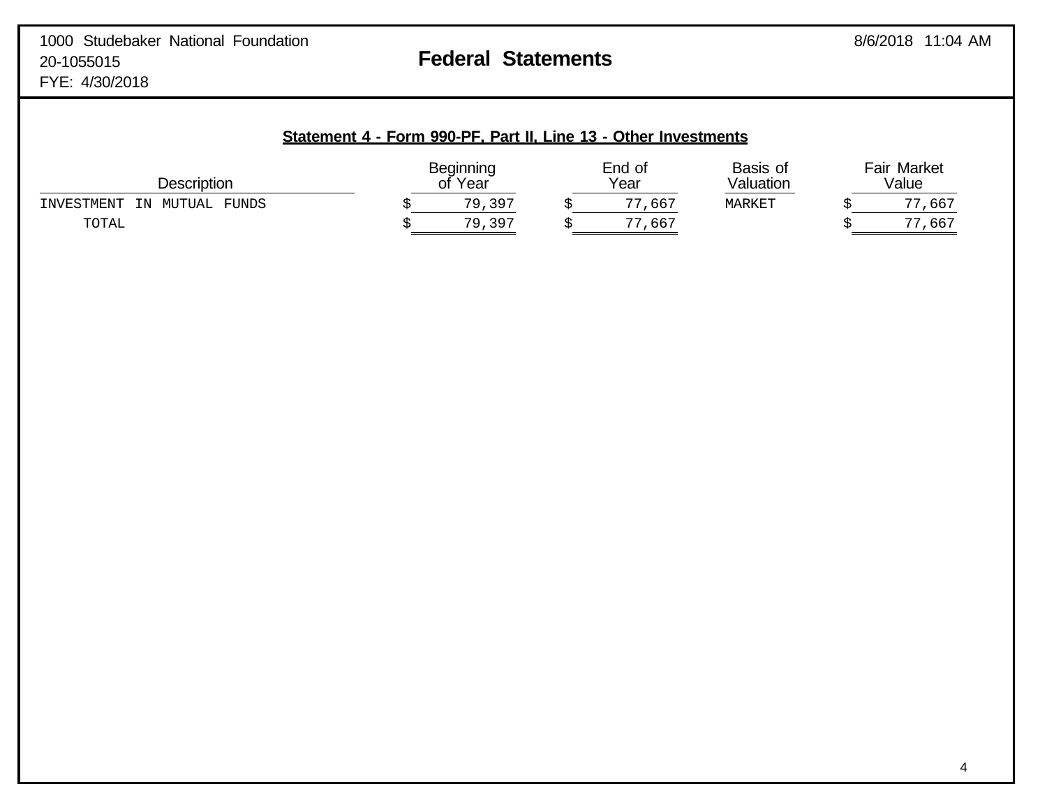| Description                         | <b>Beginning</b><br>Year | End of<br>Year | Basis of<br>Valuation | <b>Fair Market</b><br>Value |
|-------------------------------------|--------------------------|----------------|-----------------------|-----------------------------|
| FUNDS<br>MUTUAL<br>INVESTMENT<br>ΙN | 79,397                   | ,667<br>--     | MARKET                | ,667                        |
| TOTAL                               | 397<br>79                | , 66'          |                       | 565,                        |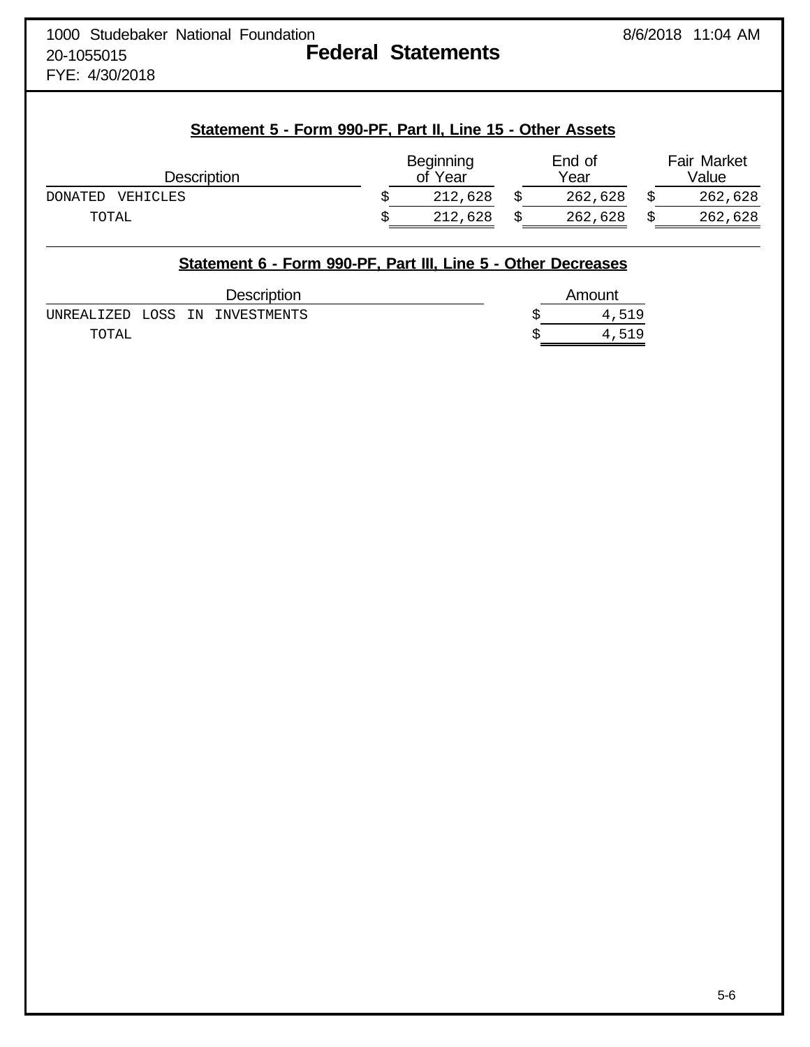# FYE: 4/30/2018

# **Statement 5 - Form 990-PF, Part II, Line 15 - Other Assets**

| <b>Description</b>         | Beginning<br>of Year | End of<br>Year | <b>Fair Market</b><br>Value |
|----------------------------|----------------------|----------------|-----------------------------|
| VEHICLES<br><b>DONATED</b> | 212,628              | 262,628        | 262,628                     |
| TOTAL                      | 212,628              | 262,628        | 262,628                     |

|       |  | Statement 6 - Form 990-PF, Part III, Line 5 - Other Decreases |        |
|-------|--|---------------------------------------------------------------|--------|
|       |  | <b>Description</b>                                            | Amount |
|       |  | UNREALIZED LOSS IN INVESTMENTS                                | 4,519  |
| TOTAL |  |                                                               | 4,519  |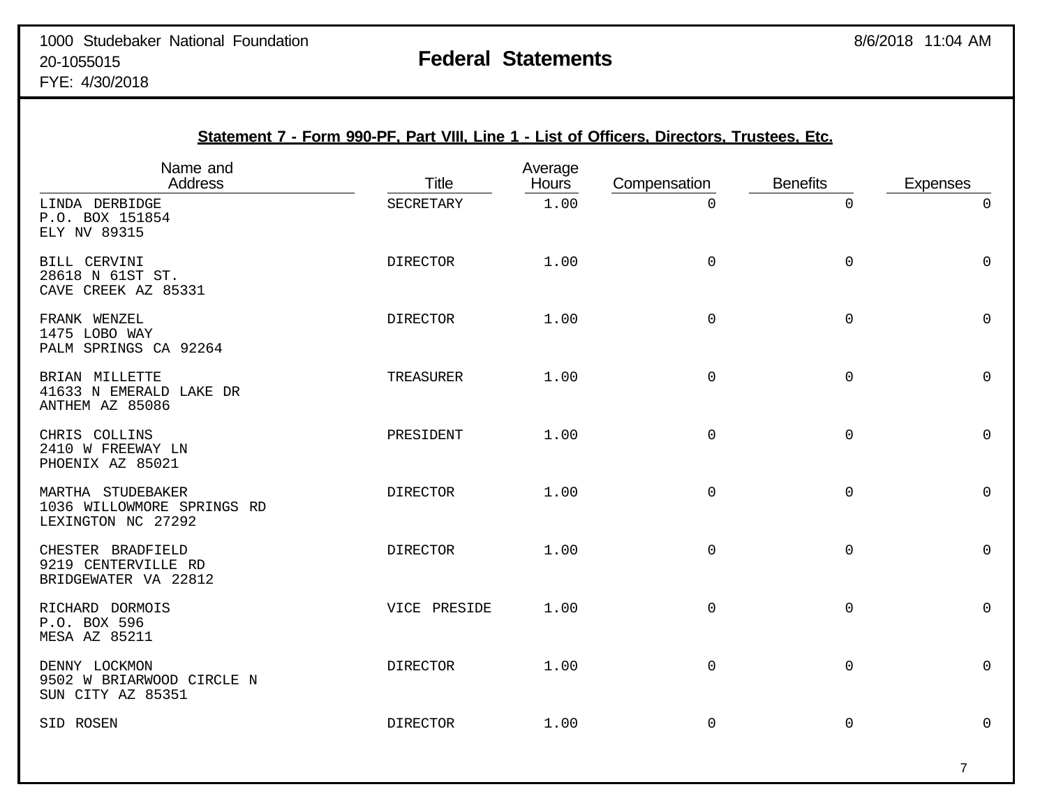|                                                                       | Statement 7 - Form 990-PF, Part VIII, Line 1 - List of Officers, Directors, Trustees, Etc. |                         |              |                     |                 |
|-----------------------------------------------------------------------|--------------------------------------------------------------------------------------------|-------------------------|--------------|---------------------|-----------------|
| Name and<br><b>Address</b>                                            | <b>Title</b>                                                                               | Average<br><b>Hours</b> | Compensation | <b>Benefits</b>     | <b>Expenses</b> |
| LINDA DERBIDGE<br>P.O. BOX 151854<br>ELY NV 89315                     | SECRETARY                                                                                  | 1.00                    | $\Omega$     | $\overline{0}$      | $\Omega$        |
| BILL CERVINI<br>28618 N 61ST ST.<br>CAVE CREEK AZ 85331               | <b>DIRECTOR</b>                                                                            | 1.00                    | $\mathbf 0$  | $\mathsf{O}$        | $\mathbf 0$     |
| FRANK WENZEL<br>1475 LOBO WAY<br>PALM SPRINGS CA 92264                | <b>DIRECTOR</b>                                                                            | 1.00                    | $\mathbf 0$  | $\mathsf{O}$        | $\mathbf 0$     |
| BRIAN MILLETTE<br>41633 N EMERALD LAKE DR<br>ANTHEM AZ 85086          | TREASURER                                                                                  | 1.00                    | $\mathbf 0$  | 0                   | 0               |
| CHRIS COLLINS<br>2410 W FREEWAY LN<br>PHOENIX AZ 85021                | PRESIDENT                                                                                  | 1.00                    | $\mathbf 0$  | 0                   | 0               |
| MARTHA STUDEBAKER<br>1036 WILLOWMORE SPRINGS RD<br>LEXINGTON NC 27292 | <b>DIRECTOR</b>                                                                            | 1.00                    | $\mathsf{O}$ | $\mathsf{O}$        | $\Omega$        |
| CHESTER BRADFIELD<br>9219 CENTERVILLE RD<br>BRIDGEWATER VA 22812      | <b>DIRECTOR</b>                                                                            | 1.00                    | $\mathsf 0$  | $\mathsf{O}\xspace$ | $\mathsf 0$     |
| RICHARD DORMOIS<br>P.O. BOX 596<br><b>MESA AZ 85211</b>               | VICE PRESIDE                                                                               | 1.00                    | $\mathsf{O}$ | $\mathsf{O}$        | $\mathbf 0$     |
| DENNY LOCKMON<br>9502 W BRIARWOOD CIRCLE N<br>SUN CITY AZ 85351       | <b>DIRECTOR</b>                                                                            | 1.00                    | $\mathbf 0$  | 0                   | $\Omega$        |
| SID ROSEN                                                             | <b>DIRECTOR</b>                                                                            | 1.00                    | $\mathbf 0$  | $\mathbf 0$         | $\overline{0}$  |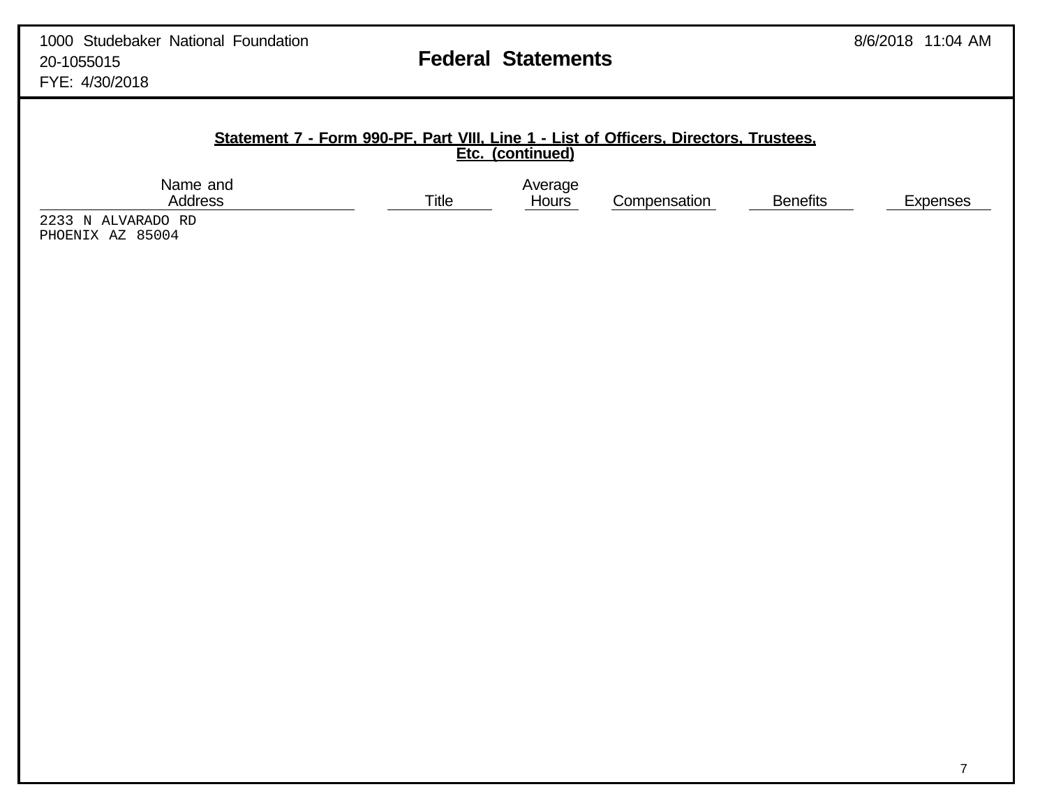Compensation Benefits Expenses

### **Statement 7 - Form 990-PF, Part VIII, Line 1 - List of Officers, Directors, Trustees, Etc. (continued)**

Name and Average Average Address and Average Address and Average Average Average Average Average Average Average Average Average Average Average Average Average Average Average Average Average Average Average Average Avera

2233 N ALVARADO RD PHOENIX AZ 85004

7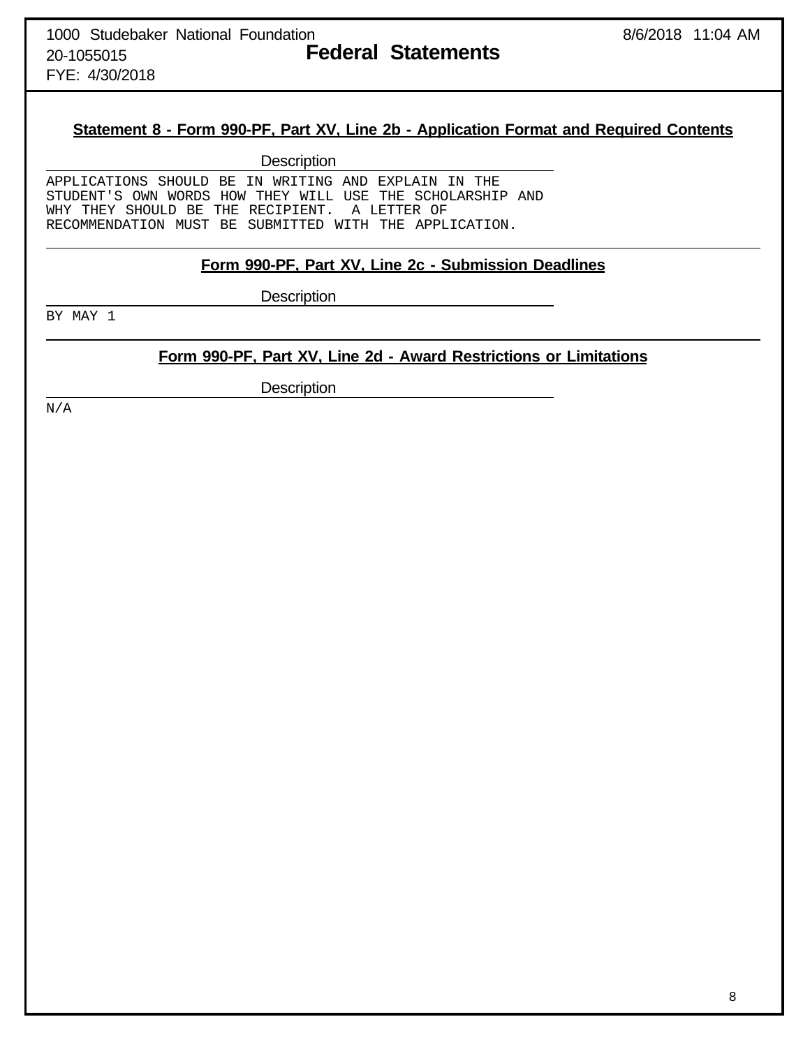FYE: 4/30/2018

## **Statement 8 - Form 990-PF, Part XV, Line 2b - Application Format and Required Contents**

**Description** 

APPLICATIONS SHOULD BE IN WRITING AND EXPLAIN IN THE STUDENT'S OWN WORDS HOW THEY WILL USE THE SCHOLARSHIP AND WHY THEY SHOULD BE THE RECIPIENT. A LETTER OF RECOMMENDATION MUST BE SUBMITTED WITH THE APPLICATION.

## **Form 990-PF, Part XV, Line 2c - Submission Deadlines**

**Description** 

BY MAY 1

# **Form 990-PF, Part XV, Line 2d - Award Restrictions or Limitations**

**Description** 

N/A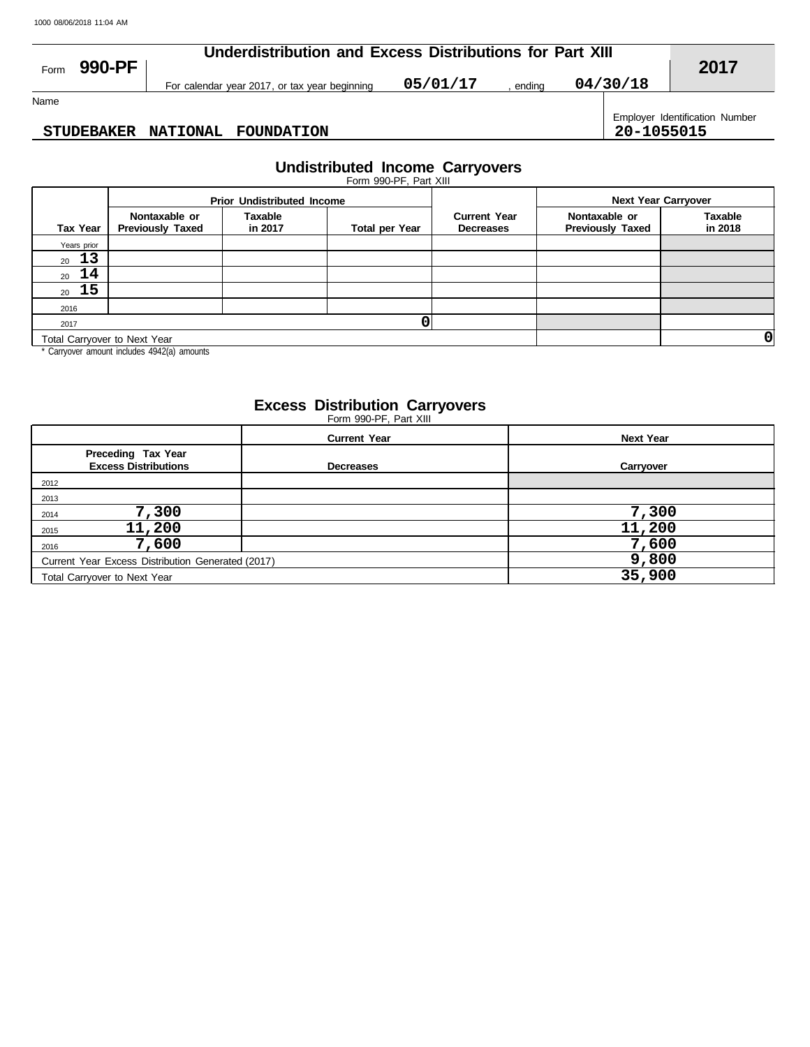| 990-PF<br>Form    | Underdistribution and Excess Distributions for Part XIII | 2017                                          |          |        |            |                                |
|-------------------|----------------------------------------------------------|-----------------------------------------------|----------|--------|------------|--------------------------------|
|                   |                                                          | For calendar year 2017, or tax year beginning | 05/01/17 | endina | 04/30/18   |                                |
| Name              |                                                          |                                               |          |        |            |                                |
| <b>STUDEBAKER</b> |                                                          | NATIONAL FOUNDATION                           |          |        | 20-1055015 | Employer Identification Number |

### **STUDEBAKER NATIONAL FOUNDATION 20-1055015**

# **Undistributed Income Carryovers**

|                              |                                          | <b>Prior Undistributed Income</b> |                       |                                         | <b>Next Year Carryover</b>               |                           |  |
|------------------------------|------------------------------------------|-----------------------------------|-----------------------|-----------------------------------------|------------------------------------------|---------------------------|--|
| <b>Tax Year</b>              | Nontaxable or<br><b>Previously Taxed</b> | Taxable<br>in 2017                | <b>Total per Year</b> | <b>Current Year</b><br><b>Decreases</b> | Nontaxable or<br><b>Previously Taxed</b> | <b>Taxable</b><br>in 2018 |  |
| Years prior                  |                                          |                                   |                       |                                         |                                          |                           |  |
| 13<br>20                     |                                          |                                   |                       |                                         |                                          |                           |  |
| 14<br>20                     |                                          |                                   |                       |                                         |                                          |                           |  |
| $20\quad 15$                 |                                          |                                   |                       |                                         |                                          |                           |  |
| 2016                         |                                          |                                   |                       |                                         |                                          |                           |  |
| 2017                         |                                          |                                   |                       |                                         |                                          |                           |  |
| Total Carryover to Next Year |                                          |                                   |                       |                                         |                                          | 0                         |  |
|                              |                                          |                                   |                       |                                         |                                          |                           |  |

Carryover amount includes 4942(a) amounts

### **Excess Distribution Carryovers**

Form 990-PF, Part XIII

|                                                   | <b>Current Year</b> | <b>Next Year</b> |
|---------------------------------------------------|---------------------|------------------|
| Preceding Tax Year<br><b>Excess Distributions</b> | <b>Decreases</b>    | Carryover        |
| 2012                                              |                     |                  |
| 2013                                              |                     |                  |
| 7,300<br>2014                                     |                     | 7,300            |
| 11,200<br>2015                                    |                     | 11,200           |
| 7,600<br>2016                                     |                     | 7,600            |
| Current Year Excess Distribution Generated (2017) | 9,800               |                  |
| Total Carryover to Next Year                      | 35,900              |                  |